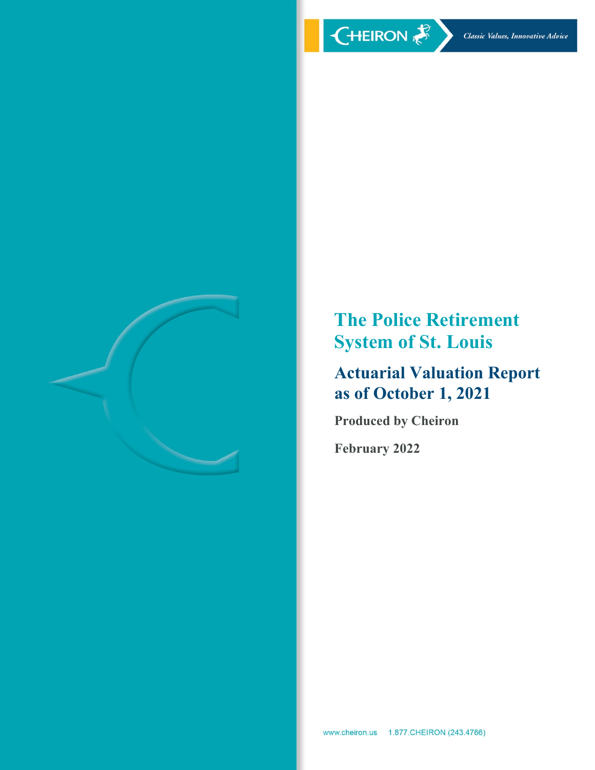

**The Police Retirement System of St. Louis** 

# **Actuarial Valuation Report as of October 1, 2021**

**Produced by Cheiron** 

**February 2022**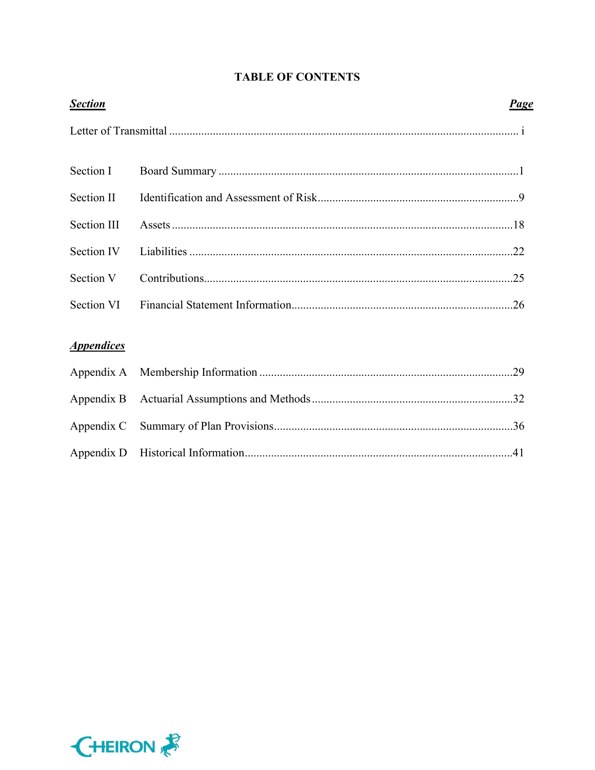| <b>Section</b>    | <u>Page</u> |
|-------------------|-------------|
|                   |             |
| Section I         |             |
| Section II        |             |
| Section III       |             |
| Section IV        |             |
| Section V         |             |
| Section VI        |             |
| <b>Appendices</b> |             |
|                   |             |

# **TABLE OF CONTENTS**

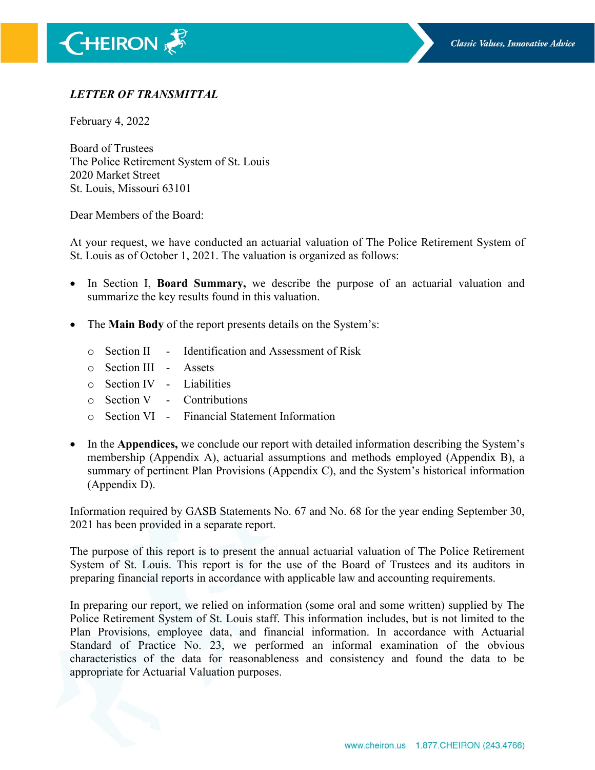# *LETTER OF TRANSMITTAL*

February 4, 2022

Board of Trustees The Police Retirement System of St. Louis 2020 Market Street St. Louis, Missouri 63101

Dear Members of the Board:

At your request, we have conducted an actuarial valuation of The Police Retirement System of St. Louis as of October 1, 2021. The valuation is organized as follows:

- In Section I, **Board Summary,** we describe the purpose of an actuarial valuation and summarize the key results found in this valuation.
- The **Main Body** of the report presents details on the System's:
	- o Section II Identification and Assessment of Risk
	- o Section III Assets
	- o Section IV Liabilities
	- $\circ$  Section V Contributions
	- o Section VI Financial Statement Information
- In the **Appendices,** we conclude our report with detailed information describing the System's membership (Appendix A), actuarial assumptions and methods employed (Appendix B), a summary of pertinent Plan Provisions (Appendix C), and the System's historical information (Appendix D).

Information required by GASB Statements No. 67 and No. 68 for the year ending September 30, 2021 has been provided in a separate report.

The purpose of this report is to present the annual actuarial valuation of The Police Retirement System of St. Louis. This report is for the use of the Board of Trustees and its auditors in preparing financial reports in accordance with applicable law and accounting requirements.

In preparing our report, we relied on information (some oral and some written) supplied by The Police Retirement System of St. Louis staff. This information includes, but is not limited to the Plan Provisions, employee data, and financial information. In accordance with Actuarial Standard of Practice No. 23, we performed an informal examination of the obvious characteristics of the data for reasonableness and consistency and found the data to be appropriate for Actuarial Valuation purposes.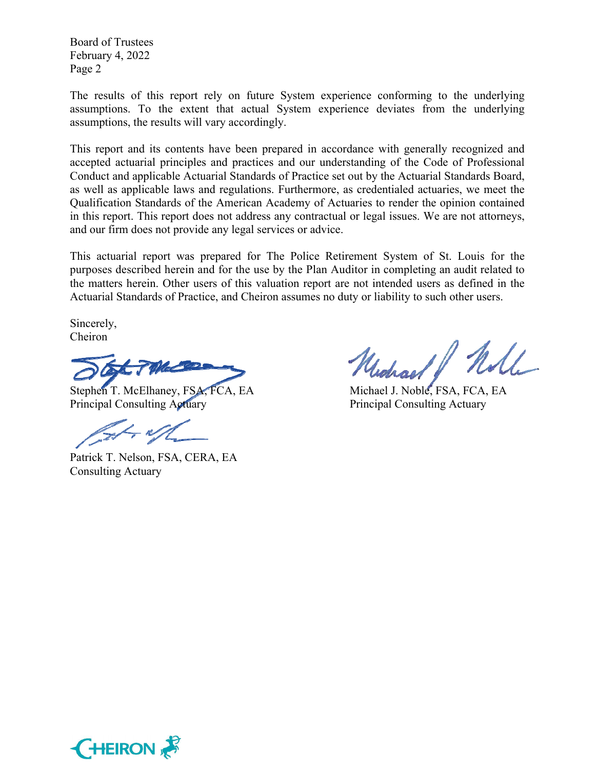Board of Trustees February 4, 2022 Page 2

The results of this report rely on future System experience conforming to the underlying assumptions. To the extent that actual System experience deviates from the underlying assumptions, the results will vary accordingly.

This report and its contents have been prepared in accordance with generally recognized and accepted actuarial principles and practices and our understanding of the Code of Professional Conduct and applicable Actuarial Standards of Practice set out by the Actuarial Standards Board, as well as applicable laws and regulations. Furthermore, as credentialed actuaries, we meet the Qualification Standards of the American Academy of Actuaries to render the opinion contained in this report. This report does not address any contractual or legal issues. We are not attorneys, and our firm does not provide any legal services or advice.

This actuarial report was prepared for The Police Retirement System of St. Louis for the purposes described herein and for the use by the Plan Auditor in completing an audit related to the matters herein. Other users of this valuation report are not intended users as defined in the Actuarial Standards of Practice, and Cheiron assumes no duty or liability to such other users.

Sincerely, Cheiron

Stephen T. McElhaney, FSA, FCA, EA Michael J. Noble, FSA, FCA, EA Principal Consulting Actuary Principal Consulting Actuary

Patrick T. Nelson, FSA, CERA, EA Consulting Actuary

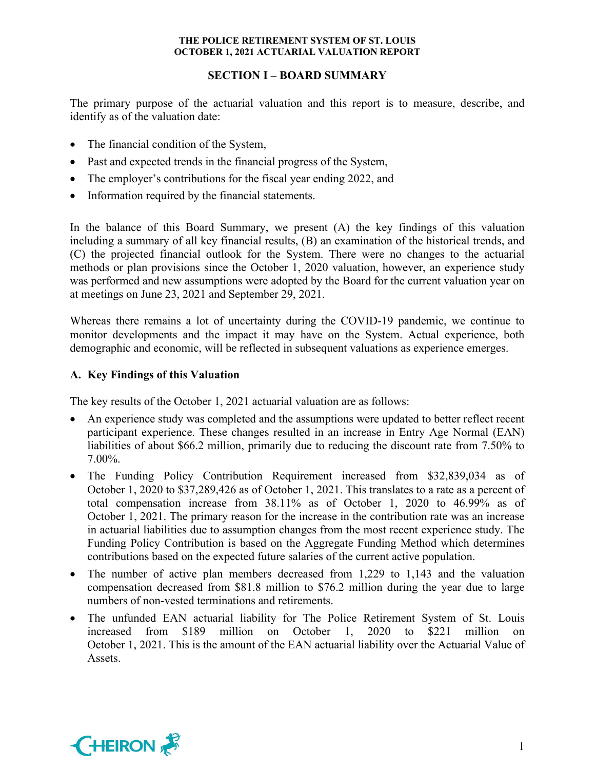# **SECTION I – BOARD SUMMARY**

The primary purpose of the actuarial valuation and this report is to measure, describe, and identify as of the valuation date:

- The financial condition of the System,
- Past and expected trends in the financial progress of the System,
- The employer's contributions for the fiscal year ending 2022, and
- Information required by the financial statements.

In the balance of this Board Summary, we present (A) the key findings of this valuation including a summary of all key financial results, (B) an examination of the historical trends, and (C) the projected financial outlook for the System. There were no changes to the actuarial methods or plan provisions since the October 1, 2020 valuation, however, an experience study was performed and new assumptions were adopted by the Board for the current valuation year on at meetings on June 23, 2021 and September 29, 2021.

Whereas there remains a lot of uncertainty during the COVID-19 pandemic, we continue to monitor developments and the impact it may have on the System. Actual experience, both demographic and economic, will be reflected in subsequent valuations as experience emerges.

# **A. Key Findings of this Valuation**

The key results of the October 1, 2021 actuarial valuation are as follows:

- An experience study was completed and the assumptions were updated to better reflect recent participant experience. These changes resulted in an increase in Entry Age Normal (EAN) liabilities of about \$66.2 million, primarily due to reducing the discount rate from 7.50% to 7.00%.
- The Funding Policy Contribution Requirement increased from \$32,839,034 as of October 1, 2020 to \$37,289,426 as of October 1, 2021. This translates to a rate as a percent of total compensation increase from 38.11% as of October 1, 2020 to 46.99% as of October 1, 2021. The primary reason for the increase in the contribution rate was an increase in actuarial liabilities due to assumption changes from the most recent experience study. The Funding Policy Contribution is based on the Aggregate Funding Method which determines contributions based on the expected future salaries of the current active population.
- The number of active plan members decreased from 1,229 to 1,143 and the valuation compensation decreased from \$81.8 million to \$76.2 million during the year due to large numbers of non-vested terminations and retirements.
- The unfunded EAN actuarial liability for The Police Retirement System of St. Louis increased from \$189 million on October 1, 2020 to \$221 million October 1, 2021. This is the amount of the EAN actuarial liability over the Actuarial Value of Assets.

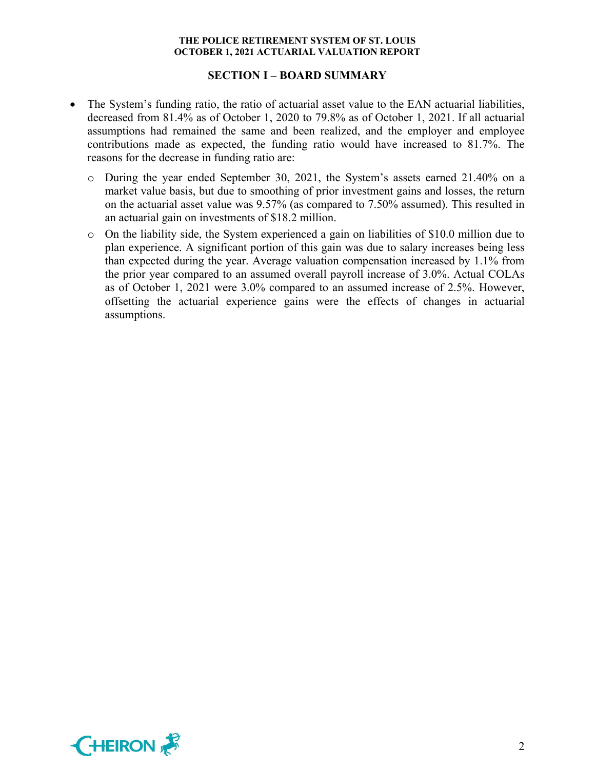### **SECTION I – BOARD SUMMARY**

- The System's funding ratio, the ratio of actuarial asset value to the EAN actuarial liabilities, decreased from 81.4% as of October 1, 2020 to 79.8% as of October 1, 2021. If all actuarial assumptions had remained the same and been realized, and the employer and employee contributions made as expected, the funding ratio would have increased to 81.7%. The reasons for the decrease in funding ratio are:
	- o During the year ended September 30, 2021, the System's assets earned 21.40% on a market value basis, but due to smoothing of prior investment gains and losses, the return on the actuarial asset value was 9.57% (as compared to 7.50% assumed). This resulted in an actuarial gain on investments of \$18.2 million.
	- o On the liability side, the System experienced a gain on liabilities of \$10.0 million due to plan experience. A significant portion of this gain was due to salary increases being less than expected during the year. Average valuation compensation increased by 1.1% from the prior year compared to an assumed overall payroll increase of 3.0%. Actual COLAs as of October 1, 2021 were 3.0% compared to an assumed increase of 2.5%. However, offsetting the actuarial experience gains were the effects of changes in actuarial assumptions.

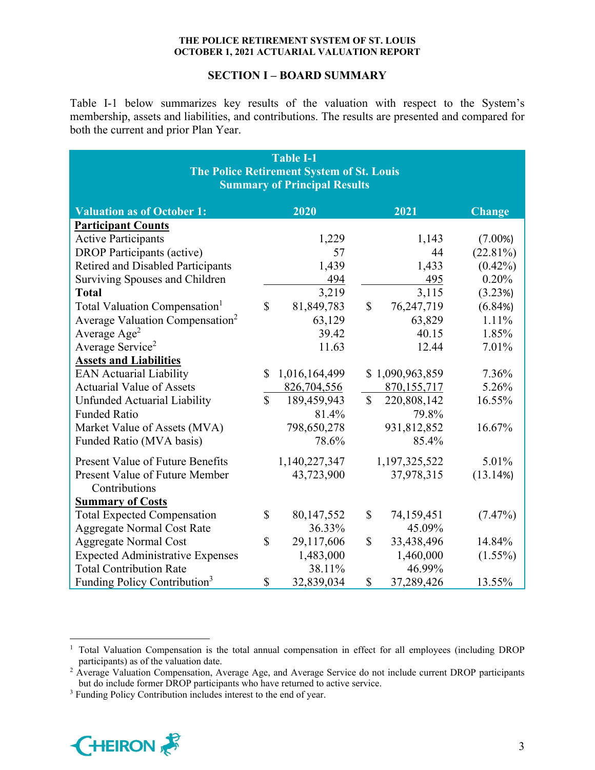### **SECTION I – BOARD SUMMARY**

Table I-1 below summarizes key results of the valuation with respect to the System's membership, assets and liabilities, and contributions. The results are presented and compared for both the current and prior Plan Year.

| <b>Table I-1</b><br><b>The Police Retirement System of St. Louis</b><br><b>Summary of Principal Results</b> |               |               |              |                 |             |  |  |  |  |
|-------------------------------------------------------------------------------------------------------------|---------------|---------------|--------------|-----------------|-------------|--|--|--|--|
| 2020<br>2021<br><b>Valuation as of October 1:</b><br><b>Change</b>                                          |               |               |              |                 |             |  |  |  |  |
| <b>Participant Counts</b>                                                                                   |               |               |              |                 |             |  |  |  |  |
| <b>Active Participants</b>                                                                                  |               | 1,229         |              | 1,143           | $(7.00\%)$  |  |  |  |  |
| <b>DROP</b> Participants (active)                                                                           |               | 57            |              | 44              | $(22.81\%)$ |  |  |  |  |
| Retired and Disabled Participants                                                                           |               | 1,439         |              | 1,433           | $(0.42\%)$  |  |  |  |  |
| Surviving Spouses and Children                                                                              |               | 494           |              | 495             | 0.20%       |  |  |  |  |
| <b>Total</b>                                                                                                |               | 3,219         |              | 3,115           | (3.23%)     |  |  |  |  |
| Total Valuation Compensation <sup>1</sup>                                                                   | \$            | 81,849,783    | $\mathbb{S}$ | 76,247,719      | (6.84%)     |  |  |  |  |
| Average Valuation Compensation <sup>2</sup>                                                                 |               | 63,129        |              | 63,829          | 1.11%       |  |  |  |  |
| Average Age <sup>2</sup>                                                                                    |               | 39.42         |              | 40.15           | 1.85%       |  |  |  |  |
| Average Service <sup>2</sup>                                                                                |               | 11.63         |              | 12.44           | 7.01%       |  |  |  |  |
| <b>Assets and Liabilities</b>                                                                               |               |               |              |                 |             |  |  |  |  |
| <b>EAN Actuarial Liability</b>                                                                              | \$            | 1,016,164,499 |              | \$1,090,963,859 | 7.36%       |  |  |  |  |
| <b>Actuarial Value of Assets</b>                                                                            |               | 826,704,556   |              | 870,155,717     | 5.26%       |  |  |  |  |
| Unfunded Actuarial Liability                                                                                | $\mathbf{\$}$ | 189,459,943   | $\mathbb{S}$ | 220,808,142     | 16.55%      |  |  |  |  |
| <b>Funded Ratio</b>                                                                                         |               | 81.4%         |              | 79.8%           |             |  |  |  |  |
| Market Value of Assets (MVA)                                                                                |               | 798,650,278   |              | 931,812,852     | 16.67%      |  |  |  |  |
| Funded Ratio (MVA basis)                                                                                    |               | 78.6%         |              | 85.4%           |             |  |  |  |  |
| <b>Present Value of Future Benefits</b>                                                                     |               | 1,140,227,347 |              | 1,197,325,522   | 5.01%       |  |  |  |  |
| Present Value of Future Member                                                                              |               | 43,723,900    |              | 37,978,315      | (13.14%)    |  |  |  |  |
| Contributions                                                                                               |               |               |              |                 |             |  |  |  |  |
| <b>Summary of Costs</b>                                                                                     |               |               |              |                 |             |  |  |  |  |
| <b>Total Expected Compensation</b>                                                                          | \$            | 80,147,552    | \$           | 74,159,451      | $(7.47\%)$  |  |  |  |  |
| <b>Aggregate Normal Cost Rate</b>                                                                           |               | 36.33%        |              | 45.09%          |             |  |  |  |  |
| <b>Aggregate Normal Cost</b>                                                                                | \$            | 29,117,606    | \$           | 33,438,496      | 14.84%      |  |  |  |  |
| <b>Expected Administrative Expenses</b>                                                                     |               | 1,483,000     |              | 1,460,000       | $(1.55\%)$  |  |  |  |  |
| <b>Total Contribution Rate</b>                                                                              |               | 38.11%        |              | 46.99%          |             |  |  |  |  |
| Funding Policy Contribution <sup>3</sup>                                                                    | \$            | 32,839,034    | $\mathbb{S}$ | 37,289,426      | 13.55%      |  |  |  |  |

<sup>&</sup>lt;sup>3</sup> Funding Policy Contribution includes interest to the end of year.



<sup>&</sup>lt;sup>1</sup> Total Valuation Compensation is the total annual compensation in effect for all employees (including DROP participants) as of the valuation date.

<sup>&</sup>lt;sup>2</sup> Average Valuation Compensation, Average Age, and Average Service do not include current DROP participants but do include former DROP participants who have returned to active service.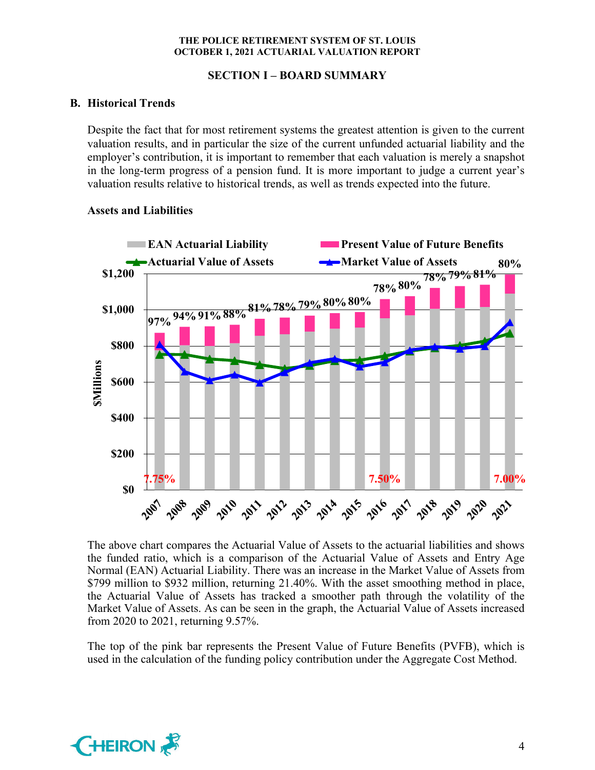# **SECTION I – BOARD SUMMARY**

# **B. Historical Trends**

Despite the fact that for most retirement systems the greatest attention is given to the current valuation results, and in particular the size of the current unfunded actuarial liability and the employer's contribution, it is important to remember that each valuation is merely a snapshot in the long-term progress of a pension fund. It is more important to judge a current year's valuation results relative to historical trends, as well as trends expected into the future.

# **EAN Actuarial Liability <b>Present Value of Future Benefits Actuarial Value of Assets Actuarial Value of Assets 80% \$1,200 78%79%81% 78%80% 97%94%91%88%81%78%79%80%80% \$1,000 \$800 \$Millions SMillions \$600 \$400 \$200 7.75% 7.50% 7.00% \$0** 2016 2017 2009 2010 2011 2012 2013 2014 2015 2020 2021 2018 2019

### **Assets and Liabilities**

The above chart compares the Actuarial Value of Assets to the actuarial liabilities and shows the funded ratio, which is a comparison of the Actuarial Value of Assets and Entry Age Normal (EAN) Actuarial Liability. There was an increase in the Market Value of Assets from \$799 million to \$932 million, returning 21.40%. With the asset smoothing method in place, the Actuarial Value of Assets has tracked a smoother path through the volatility of the Market Value of Assets. As can be seen in the graph, the Actuarial Value of Assets increased from 2020 to 2021, returning 9.57%.

The top of the pink bar represents the Present Value of Future Benefits (PVFB), which is used in the calculation of the funding policy contribution under the Aggregate Cost Method.

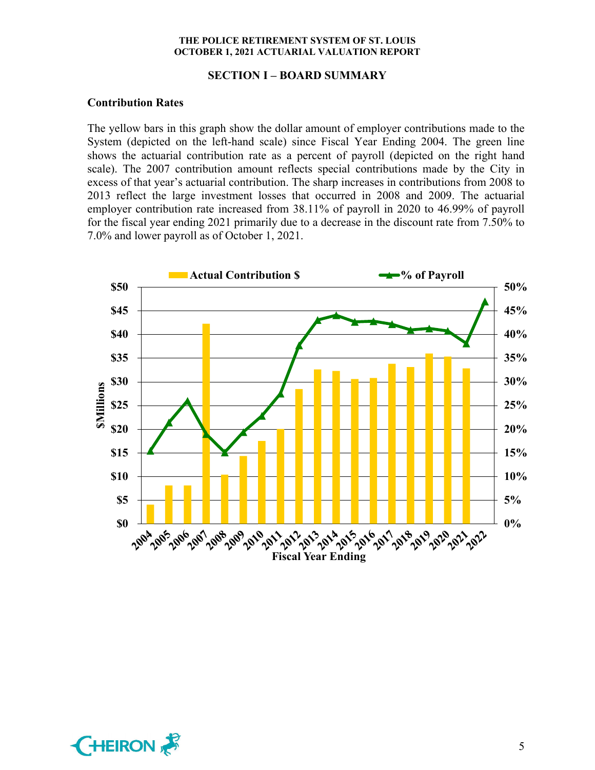#### **SECTION I – BOARD SUMMARY**

#### **Contribution Rates**

The yellow bars in this graph show the dollar amount of employer contributions made to the System (depicted on the left-hand scale) since Fiscal Year Ending 2004. The green line shows the actuarial contribution rate as a percent of payroll (depicted on the right hand scale). The 2007 contribution amount reflects special contributions made by the City in excess of that year's actuarial contribution. The sharp increases in contributions from 2008 to 2013 reflect the large investment losses that occurred in 2008 and 2009. The actuarial employer contribution rate increased from 38.11% of payroll in 2020 to 46.99% of payroll for the fiscal year ending 2021 primarily due to a decrease in the discount rate from 7.50% to 7.0% and lower payroll as of October 1, 2021.



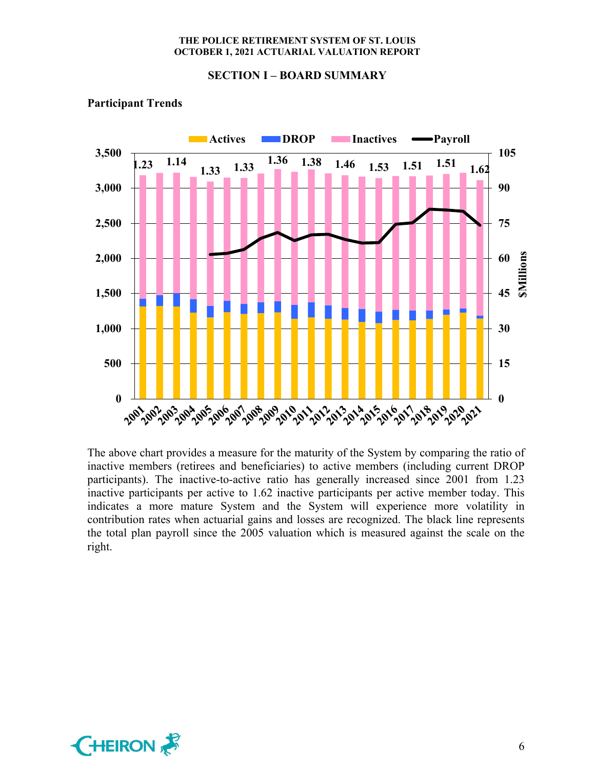#### **SECTION I – BOARD SUMMARY**



# **Participant Trends**

The above chart provides a measure for the maturity of the System by comparing the ratio of inactive members (retirees and beneficiaries) to active members (including current DROP participants). The inactive-to-active ratio has generally increased since 2001 from 1.23 inactive participants per active to 1.62 inactive participants per active member today. This indicates a more mature System and the System will experience more volatility in contribution rates when actuarial gains and losses are recognized. The black line represents the total plan payroll since the 2005 valuation which is measured against the scale on the right.

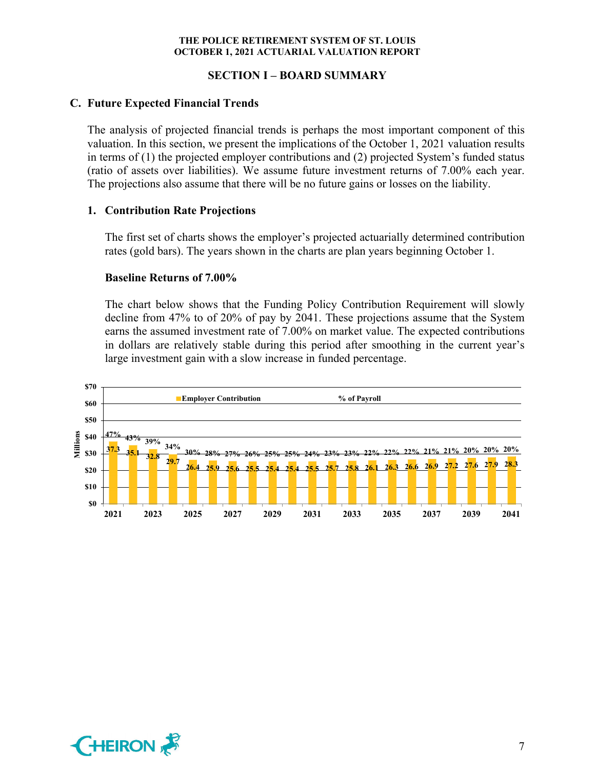# **SECTION I – BOARD SUMMARY**

# **C. Future Expected Financial Trends**

The analysis of projected financial trends is perhaps the most important component of this valuation. In this section, we present the implications of the October 1, 2021 valuation results in terms of (1) the projected employer contributions and (2) projected System's funded status (ratio of assets over liabilities). We assume future investment returns of 7.00% each year. The projections also assume that there will be no future gains or losses on the liability.

# **1. Contribution Rate Projections**

The first set of charts shows the employer's projected actuarially determined contribution rates (gold bars). The years shown in the charts are plan years beginning October 1.

# **Baseline Returns of 7.00%**

The chart below shows that the Funding Policy Contribution Requirement will slowly decline from 47% to of 20% of pay by 2041. These projections assume that the System earns the assumed investment rate of 7.00% on market value. The expected contributions in dollars are relatively stable during this period after smoothing in the current year's large investment gain with a slow increase in funded percentage.



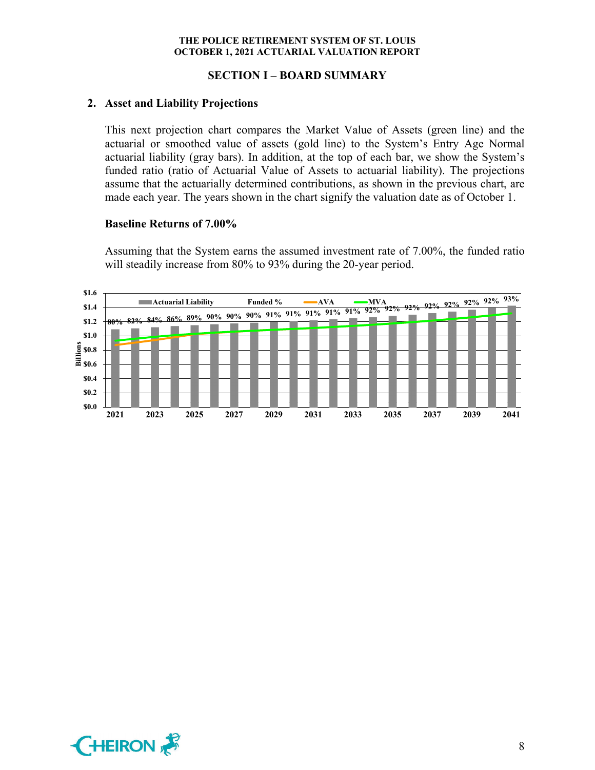### **SECTION I – BOARD SUMMARY**

### **2. Asset and Liability Projections**

This next projection chart compares the Market Value of Assets (green line) and the actuarial or smoothed value of assets (gold line) to the System's Entry Age Normal actuarial liability (gray bars). In addition, at the top of each bar, we show the System's funded ratio (ratio of Actuarial Value of Assets to actuarial liability). The projections assume that the actuarially determined contributions, as shown in the previous chart, are made each year. The years shown in the chart signify the valuation date as of October 1.

#### **Baseline Returns of 7.00%**

Assuming that the System earns the assumed investment rate of 7.00%, the funded ratio will steadily increase from 80% to 93% during the 20-year period.



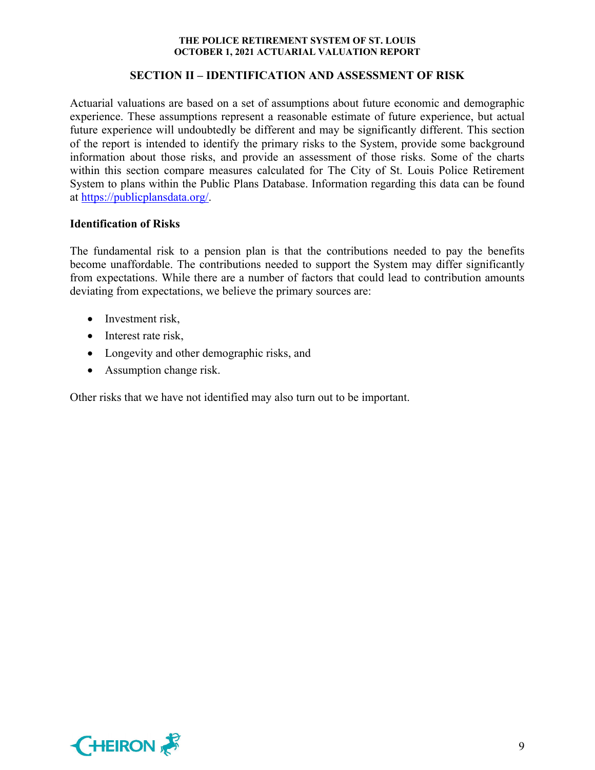# **SECTION II – IDENTIFICATION AND ASSESSMENT OF RISK**

Actuarial valuations are based on a set of assumptions about future economic and demographic experience. These assumptions represent a reasonable estimate of future experience, but actual future experience will undoubtedly be different and may be significantly different. This section of the report is intended to identify the primary risks to the System, provide some background information about those risks, and provide an assessment of those risks. Some of the charts within this section compare measures calculated for The City of St. Louis Police Retirement System to plans within the Public Plans Database. Information regarding this data can be found at https://publicplansdata.org/.

# **Identification of Risks**

The fundamental risk to a pension plan is that the contributions needed to pay the benefits become unaffordable. The contributions needed to support the System may differ significantly from expectations. While there are a number of factors that could lead to contribution amounts deviating from expectations, we believe the primary sources are:

- Investment risk,
- Interest rate risk,
- Longevity and other demographic risks, and
- Assumption change risk.

Other risks that we have not identified may also turn out to be important.

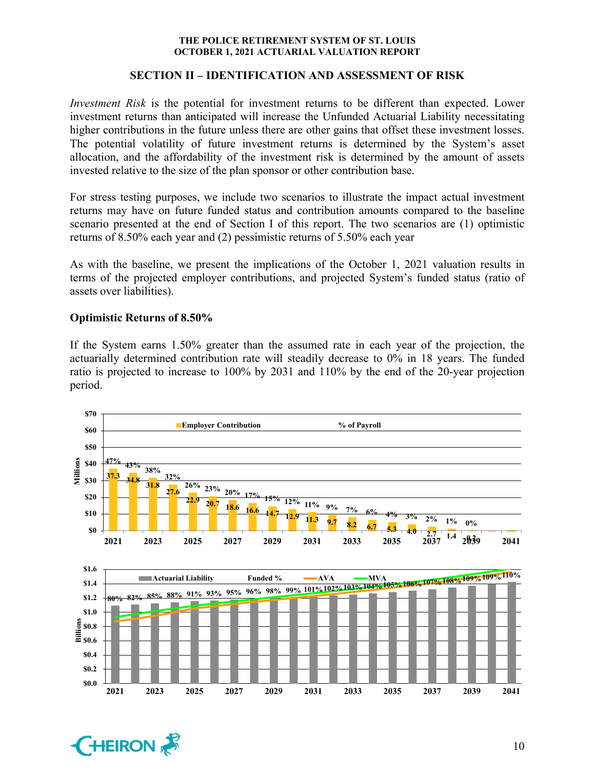# **SECTION II – IDENTIFICATION AND ASSESSMENT OF RISK**

*Investment Risk* is the potential for investment returns to be different than expected. Lower investment returns than anticipated will increase the Unfunded Actuarial Liability necessitating higher contributions in the future unless there are other gains that offset these investment losses. The potential volatility of future investment returns is determined by the System's asset allocation, and the affordability of the investment risk is determined by the amount of assets invested relative to the size of the plan sponsor or other contribution base.

For stress testing purposes, we include two scenarios to illustrate the impact actual investment returns may have on future funded status and contribution amounts compared to the baseline scenario presented at the end of Section I of this report. The two scenarios are (1) optimistic returns of 8.50% each year and (2) pessimistic returns of 5.50% each year

As with the baseline, we present the implications of the October 1, 2021 valuation results in terms of the projected employer contributions, and projected System's funded status (ratio of assets over liabilities).

# **Optimistic Returns of 8.50%**

If the System earns 1.50% greater than the assumed rate in each year of the projection, the actuarially determined contribution rate will steadily decrease to 0% in 18 years. The funded ratio is projected to increase to 100% by 2031 and 110% by the end of the 20-year projection period.



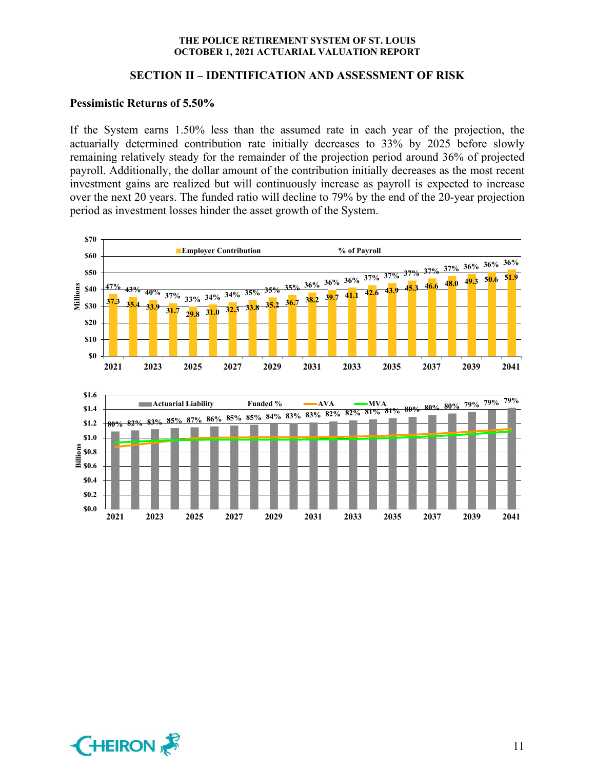### **SECTION II – IDENTIFICATION AND ASSESSMENT OF RISK**

#### **Pessimistic Returns of 5.50%**

If the System earns 1.50% less than the assumed rate in each year of the projection, the actuarially determined contribution rate initially decreases to 33% by 2025 before slowly remaining relatively steady for the remainder of the projection period around 36% of projected payroll. Additionally, the dollar amount of the contribution initially decreases as the most recent investment gains are realized but will continuously increase as payroll is expected to increase over the next 20 years. The funded ratio will decline to 79% by the end of the 20-year projection period as investment losses hinder the asset growth of the System.



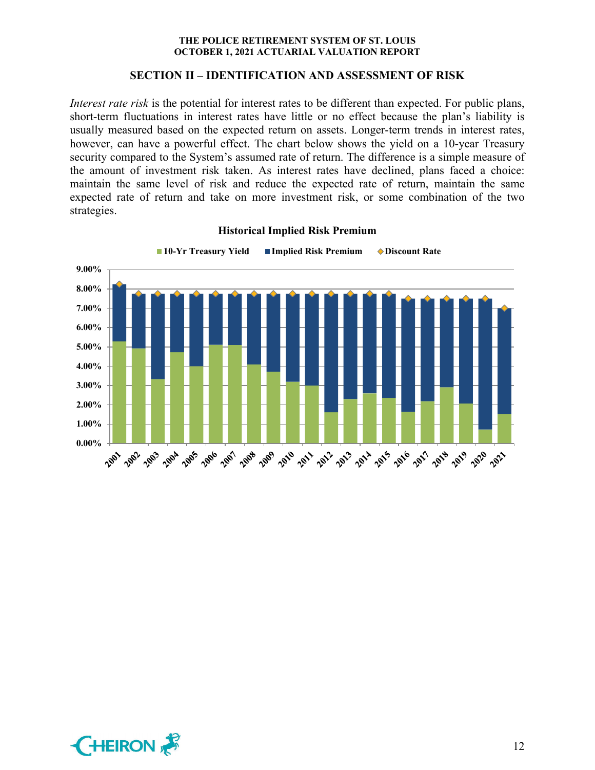### **SECTION II – IDENTIFICATION AND ASSESSMENT OF RISK**

*Interest rate risk* is the potential for interest rates to be different than expected. For public plans, short-term fluctuations in interest rates have little or no effect because the plan's liability is usually measured based on the expected return on assets. Longer-term trends in interest rates, however, can have a powerful effect. The chart below shows the yield on a 10-year Treasury security compared to the System's assumed rate of return. The difference is a simple measure of the amount of investment risk taken. As interest rates have declined, plans faced a choice: maintain the same level of risk and reduce the expected rate of return, maintain the same expected rate of return and take on more investment risk, or some combination of the two strategies.



**Historical Implied Risk Premium**

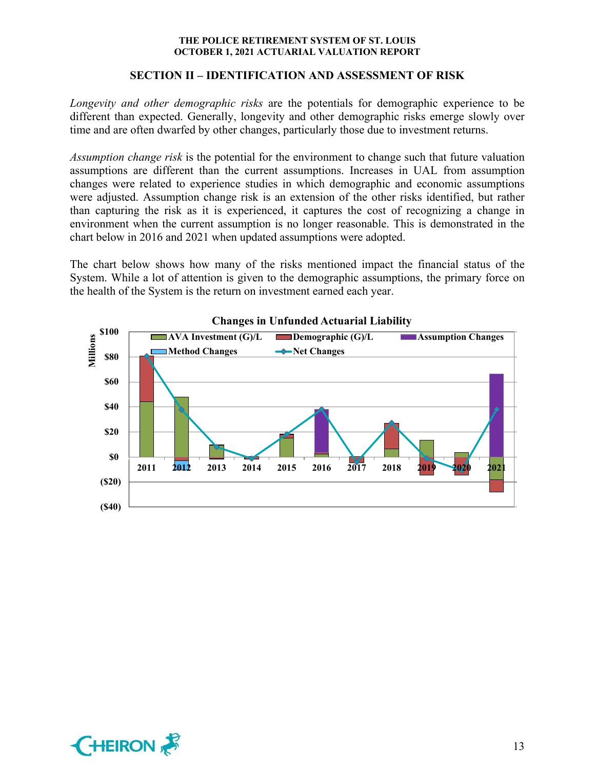# **SECTION II – IDENTIFICATION AND ASSESSMENT OF RISK**

*Longevity and other demographic risks* are the potentials for demographic experience to be different than expected. Generally, longevity and other demographic risks emerge slowly over time and are often dwarfed by other changes, particularly those due to investment returns.

*Assumption change risk* is the potential for the environment to change such that future valuation assumptions are different than the current assumptions. Increases in UAL from assumption changes were related to experience studies in which demographic and economic assumptions were adjusted. Assumption change risk is an extension of the other risks identified, but rather than capturing the risk as it is experienced, it captures the cost of recognizing a change in environment when the current assumption is no longer reasonable. This is demonstrated in the chart below in 2016 and 2021 when updated assumptions were adopted.

The chart below shows how many of the risks mentioned impact the financial status of the System. While a lot of attention is given to the demographic assumptions, the primary force on the health of the System is the return on investment earned each year.



**Changes in Unfunded Actuarial Liability**

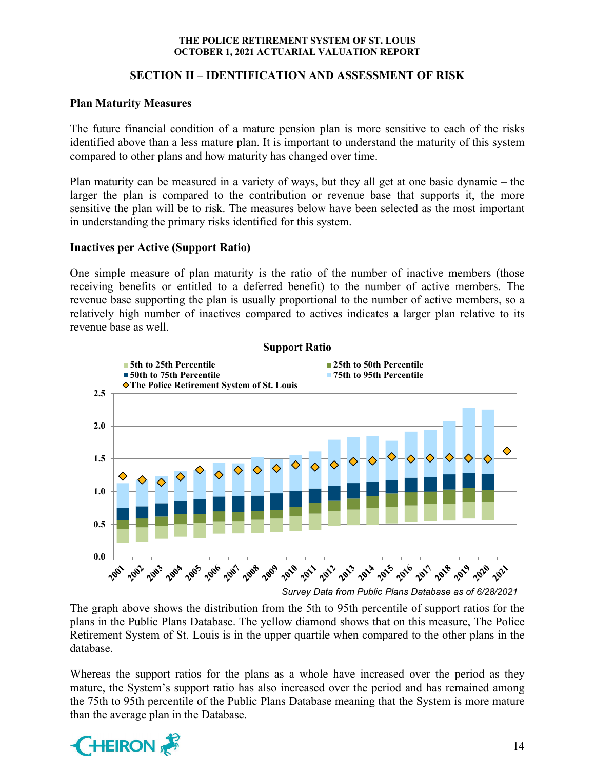# **SECTION II – IDENTIFICATION AND ASSESSMENT OF RISK**

# **Plan Maturity Measures**

The future financial condition of a mature pension plan is more sensitive to each of the risks identified above than a less mature plan. It is important to understand the maturity of this system compared to other plans and how maturity has changed over time.

Plan maturity can be measured in a variety of ways, but they all get at one basic dynamic – the larger the plan is compared to the contribution or revenue base that supports it, the more sensitive the plan will be to risk. The measures below have been selected as the most important in understanding the primary risks identified for this system.

# **Inactives per Active (Support Ratio)**

One simple measure of plan maturity is the ratio of the number of inactive members (those receiving benefits or entitled to a deferred benefit) to the number of active members. The revenue base supporting the plan is usually proportional to the number of active members, so a relatively high number of inactives compared to actives indicates a larger plan relative to its revenue base as well.



*Survey Data from Public Plans Database as of 6/28/2021*

The graph above shows the distribution from the 5th to 95th percentile of support ratios for the plans in the Public Plans Database. The yellow diamond shows that on this measure, The Police Retirement System of St. Louis is in the upper quartile when compared to the other plans in the database.

Whereas the support ratios for the plans as a whole have increased over the period as they mature, the System's support ratio has also increased over the period and has remained among the 75th to 95th percentile of the Public Plans Database meaning that the System is more mature than the average plan in the Database.

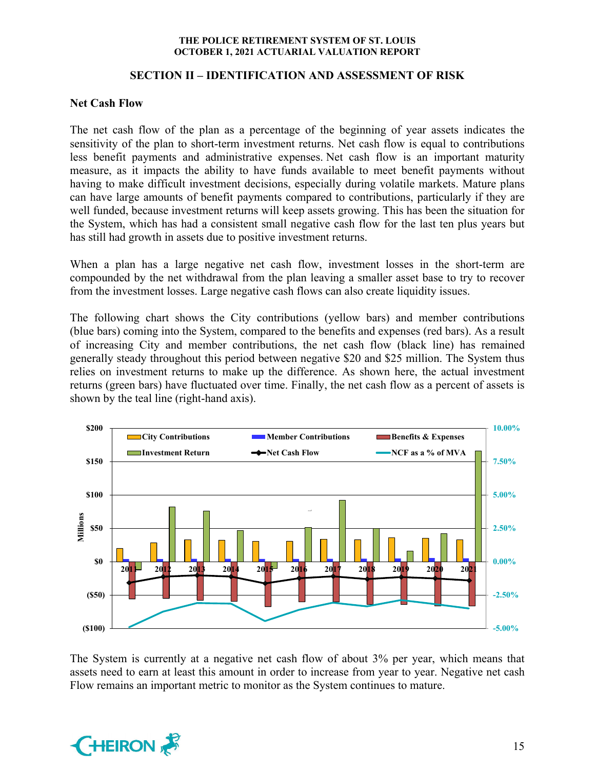# **SECTION II – IDENTIFICATION AND ASSESSMENT OF RISK**

# **Net Cash Flow**

The net cash flow of the plan as a percentage of the beginning of year assets indicates the sensitivity of the plan to short-term investment returns. Net cash flow is equal to contributions less benefit payments and administrative expenses. Net cash flow is an important maturity measure, as it impacts the ability to have funds available to meet benefit payments without having to make difficult investment decisions, especially during volatile markets. Mature plans can have large amounts of benefit payments compared to contributions, particularly if they are well funded, because investment returns will keep assets growing. This has been the situation for the System, which has had a consistent small negative cash flow for the last ten plus years but has still had growth in assets due to positive investment returns.

When a plan has a large negative net cash flow, investment losses in the short-term are compounded by the net withdrawal from the plan leaving a smaller asset base to try to recover from the investment losses. Large negative cash flows can also create liquidity issues.

The following chart shows the City contributions (yellow bars) and member contributions (blue bars) coming into the System, compared to the benefits and expenses (red bars). As a result of increasing City and member contributions, the net cash flow (black line) has remained generally steady throughout this period between negative \$20 and \$25 million. The System thus relies on investment returns to make up the difference. As shown here, the actual investment returns (green bars) have fluctuated over time. Finally, the net cash flow as a percent of assets is shown by the teal line (right-hand axis).



The System is currently at a negative net cash flow of about 3% per year, which means that assets need to earn at least this amount in order to increase from year to year. Negative net cash Flow remains an important metric to monitor as the System continues to mature.

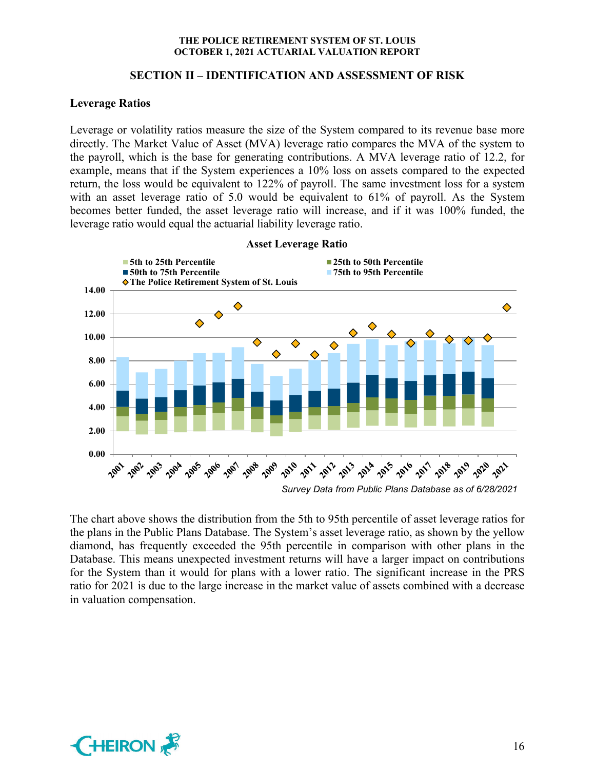# **SECTION II – IDENTIFICATION AND ASSESSMENT OF RISK**

# **Leverage Ratios**

Leverage or volatility ratios measure the size of the System compared to its revenue base more directly. The Market Value of Asset (MVA) leverage ratio compares the MVA of the system to the payroll, which is the base for generating contributions. A MVA leverage ratio of 12.2, for example, means that if the System experiences a 10% loss on assets compared to the expected return, the loss would be equivalent to 122% of payroll. The same investment loss for a system with an asset leverage ratio of 5.0 would be equivalent to 61% of payroll. As the System becomes better funded, the asset leverage ratio will increase, and if it was 100% funded, the leverage ratio would equal the actuarial liability leverage ratio.



**Asset Leverage Ratio**

The chart above shows the distribution from the 5th to 95th percentile of asset leverage ratios for the plans in the Public Plans Database. The System's asset leverage ratio, as shown by the yellow diamond, has frequently exceeded the 95th percentile in comparison with other plans in the Database. This means unexpected investment returns will have a larger impact on contributions for the System than it would for plans with a lower ratio. The significant increase in the PRS ratio for 2021 is due to the large increase in the market value of assets combined with a decrease in valuation compensation.

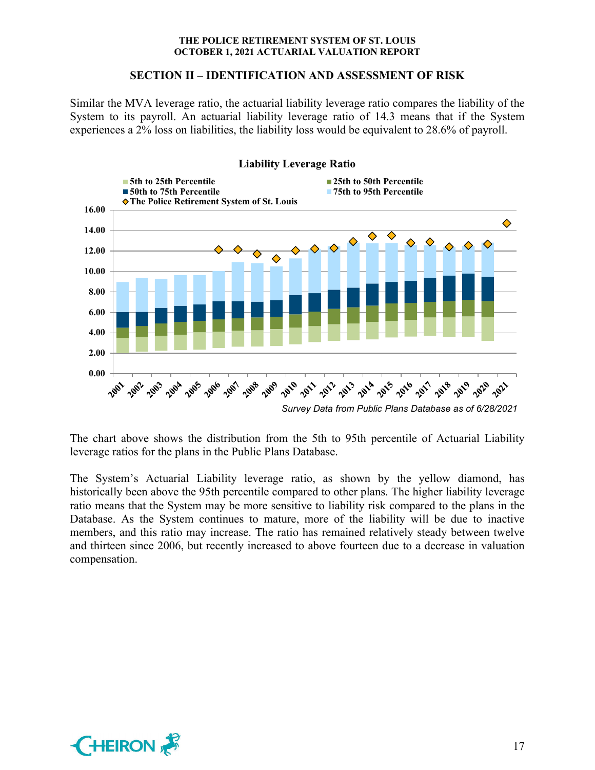### **SECTION II – IDENTIFICATION AND ASSESSMENT OF RISK**

Similar the MVA leverage ratio, the actuarial liability leverage ratio compares the liability of the System to its payroll. An actuarial liability leverage ratio of 14.3 means that if the System experiences a 2% loss on liabilities, the liability loss would be equivalent to 28.6% of payroll.



The chart above shows the distribution from the 5th to 95th percentile of Actuarial Liability leverage ratios for the plans in the Public Plans Database.

The System's Actuarial Liability leverage ratio, as shown by the yellow diamond, has historically been above the 95th percentile compared to other plans. The higher liability leverage ratio means that the System may be more sensitive to liability risk compared to the plans in the Database. As the System continues to mature, more of the liability will be due to inactive members, and this ratio may increase. The ratio has remained relatively steady between twelve and thirteen since 2006, but recently increased to above fourteen due to a decrease in valuation compensation.

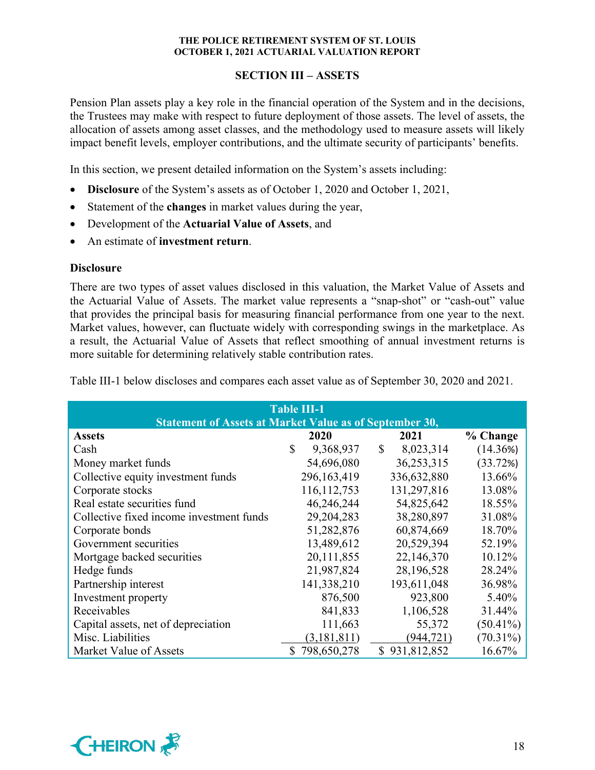# **SECTION III – ASSETS**

Pension Plan assets play a key role in the financial operation of the System and in the decisions, the Trustees may make with respect to future deployment of those assets. The level of assets, the allocation of assets among asset classes, and the methodology used to measure assets will likely impact benefit levels, employer contributions, and the ultimate security of participants' benefits.

In this section, we present detailed information on the System's assets including:

- **Disclosure** of the System's assets as of October 1, 2020 and October 1, 2021,
- Statement of the **changes** in market values during the year,
- Development of the **Actuarial Value of Assets**, and
- An estimate of **investment return**.

# **Disclosure**

There are two types of asset values disclosed in this valuation, the Market Value of Assets and the Actuarial Value of Assets. The market value represents a "snap-shot" or "cash-out" value that provides the principal basis for measuring financial performance from one year to the next. Market values, however, can fluctuate widely with corresponding swings in the marketplace. As a result, the Actuarial Value of Assets that reflect smoothing of annual investment returns is more suitable for determining relatively stable contribution rates.

| <b>Table III-1</b>                                             |    |               |    |               |             |  |  |  |  |  |
|----------------------------------------------------------------|----|---------------|----|---------------|-------------|--|--|--|--|--|
| <b>Statement of Assets at Market Value as of September 30,</b> |    |               |    |               |             |  |  |  |  |  |
| <b>Assets</b>                                                  |    | 2020          |    | 2021          | % Change    |  |  |  |  |  |
| Cash                                                           | \$ | 9,368,937     | S. | 8,023,314     | (14.36%)    |  |  |  |  |  |
| Money market funds                                             |    | 54,696,080    |    | 36,253,315    | (33.72%)    |  |  |  |  |  |
| Collective equity investment funds                             |    | 296,163,419   |    | 336,632,880   | 13.66%      |  |  |  |  |  |
| Corporate stocks                                               |    | 116, 112, 753 |    | 131,297,816   | 13.08%      |  |  |  |  |  |
| Real estate securities fund                                    |    | 46,246,244    |    | 54,825,642    | 18.55%      |  |  |  |  |  |
| Collective fixed income investment funds                       |    | 29, 204, 283  |    | 38,280,897    | 31.08%      |  |  |  |  |  |
| Corporate bonds                                                |    | 51,282,876    |    | 60,874,669    | 18.70%      |  |  |  |  |  |
| Government securities                                          |    | 13,489,612    |    | 20,529,394    | 52.19%      |  |  |  |  |  |
| Mortgage backed securities                                     |    | 20,111,855    |    | 22,146,370    | 10.12%      |  |  |  |  |  |
| Hedge funds                                                    |    | 21,987,824    |    | 28,196,528    | 28.24%      |  |  |  |  |  |
| Partnership interest                                           |    | 141,338,210   |    | 193,611,048   | 36.98%      |  |  |  |  |  |
| Investment property                                            |    | 876,500       |    | 923,800       | 5.40%       |  |  |  |  |  |
| Receivables                                                    |    | 841,833       |    | 1,106,528     | 31.44%      |  |  |  |  |  |
| Capital assets, net of depreciation                            |    | 111,663       |    | 55,372        | $(50.41\%)$ |  |  |  |  |  |
| Misc. Liabilities                                              |    | (3, 181, 811) |    | (944, 721)    | $(70.31\%)$ |  |  |  |  |  |
| Market Value of Assets                                         | S. | 798,650,278   |    | \$931,812,852 | 16.67%      |  |  |  |  |  |

Table III-1 below discloses and compares each asset value as of September 30, 2020 and 2021.

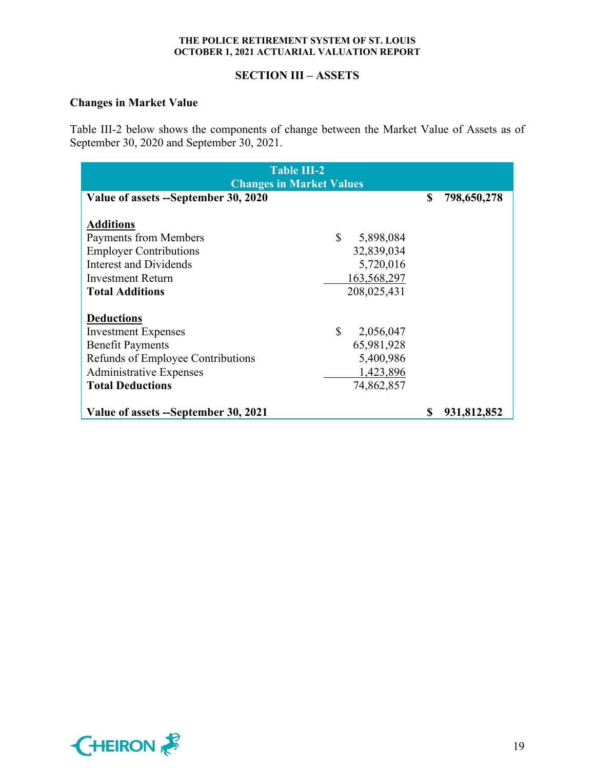# **SECTION III – ASSETS**

# **Changes in Market Value**

Table III-2 below shows the components of change between the Market Value of Assets as of September 30, 2020 and September 30, 2021.

| <b>Table III-2</b><br><b>Changes in Market Values</b> |                 |    |             |  |  |  |  |
|-------------------------------------------------------|-----------------|----|-------------|--|--|--|--|
| Value of assets --September 30, 2020                  |                 | \$ | 798,650,278 |  |  |  |  |
| <b>Additions</b>                                      |                 |    |             |  |  |  |  |
| <b>Payments from Members</b>                          | \$<br>5,898,084 |    |             |  |  |  |  |
| <b>Employer Contributions</b>                         | 32,839,034      |    |             |  |  |  |  |
| Interest and Dividends                                | 5,720,016       |    |             |  |  |  |  |
| <b>Investment Return</b>                              | 163,568,297     |    |             |  |  |  |  |
| <b>Total Additions</b>                                | 208,025,431     |    |             |  |  |  |  |
| <b>Deductions</b>                                     |                 |    |             |  |  |  |  |
| <b>Investment Expenses</b>                            | \$<br>2,056,047 |    |             |  |  |  |  |
| <b>Benefit Payments</b>                               | 65,981,928      |    |             |  |  |  |  |
| Refunds of Employee Contributions                     | 5,400,986       |    |             |  |  |  |  |
| <b>Administrative Expenses</b>                        | 1,423,896       |    |             |  |  |  |  |
| <b>Total Deductions</b>                               | 74,862,857      |    |             |  |  |  |  |
| Value of assets --September 30, 2021                  |                 | S  | 931,812,852 |  |  |  |  |

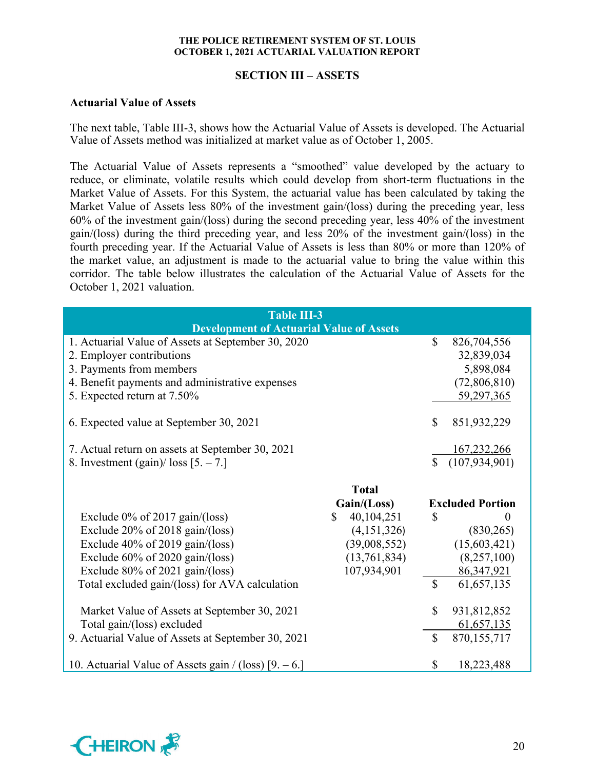# **SECTION III – ASSETS**

#### **Actuarial Value of Assets**

The next table, Table III-3, shows how the Actuarial Value of Assets is developed. The Actuarial Value of Assets method was initialized at market value as of October 1, 2005.

The Actuarial Value of Assets represents a "smoothed" value developed by the actuary to reduce, or eliminate, volatile results which could develop from short-term fluctuations in the Market Value of Assets. For this System, the actuarial value has been calculated by taking the Market Value of Assets less 80% of the investment gain/(loss) during the preceding year, less 60% of the investment gain/(loss) during the second preceding year, less 40% of the investment gain/(loss) during the third preceding year, and less 20% of the investment gain/(loss) in the fourth preceding year. If the Actuarial Value of Assets is less than 80% or more than 120% of the market value, an adjustment is made to the actuarial value to bring the value within this corridor. The table below illustrates the calculation of the Actuarial Value of Assets for the October 1, 2021 valuation.

| <b>Table III-3</b>                                    |                  |                    |                         |  |  |  |
|-------------------------------------------------------|------------------|--------------------|-------------------------|--|--|--|
| <b>Development of Actuarial Value of Assets</b>       |                  |                    |                         |  |  |  |
| 1. Actuarial Value of Assets at September 30, 2020    |                  | \$                 | 826,704,556             |  |  |  |
| 2. Employer contributions                             |                  |                    | 32,839,034              |  |  |  |
| 3. Payments from members                              |                  |                    | 5,898,084               |  |  |  |
| 4. Benefit payments and administrative expenses       |                  |                    | (72,806,810)            |  |  |  |
| 5. Expected return at 7.50%                           |                  |                    | 59,297,365              |  |  |  |
|                                                       |                  |                    |                         |  |  |  |
| 6. Expected value at September 30, 2021               |                  | $\mathbb{S}$       | 851,932,229             |  |  |  |
|                                                       |                  |                    |                         |  |  |  |
| 7. Actual return on assets at September 30, 2021      |                  |                    | 167,232,266             |  |  |  |
| 8. Investment (gain)/ $\cos$ [5. - 7.]                |                  | $\mathbf{\hat{S}}$ | (107, 934, 901)         |  |  |  |
|                                                       |                  |                    |                         |  |  |  |
|                                                       | <b>Total</b>     |                    |                         |  |  |  |
|                                                       | Gain/(Loss)      |                    | <b>Excluded Portion</b> |  |  |  |
| Exclude $0\%$ of 2017 gain/(loss)                     | 40,104,251<br>\$ | $\mathcal{S}$      |                         |  |  |  |
| Exclude $20\%$ of $2018$ gain/(loss)                  | (4,151,326)      |                    | (830, 265)              |  |  |  |
| Exclude $40\%$ of 2019 gain/(loss)                    | (39,008,552)     |                    | (15,603,421)            |  |  |  |
| Exclude $60\%$ of 2020 gain/(loss)                    | (13,761,834)     |                    | (8, 257, 100)           |  |  |  |
| Exclude $80\%$ of 2021 gain/(loss)                    | 107,934,901      |                    | 86, 347, 921            |  |  |  |
| Total excluded gain/(loss) for AVA calculation        |                  | $\mathbb{S}$       | 61,657,135              |  |  |  |
|                                                       |                  |                    |                         |  |  |  |
| Market Value of Assets at September 30, 2021          |                  | $\mathbb{S}$       | 931,812,852             |  |  |  |
| Total gain/(loss) excluded                            |                  |                    | 61,657,135              |  |  |  |
| 9. Actuarial Value of Assets at September 30, 2021    |                  | \$                 | 870,155,717             |  |  |  |
|                                                       |                  |                    |                         |  |  |  |
| 10. Actuarial Value of Assets gain / (loss) $[9, -6]$ |                  | \$                 | 18,223,488              |  |  |  |

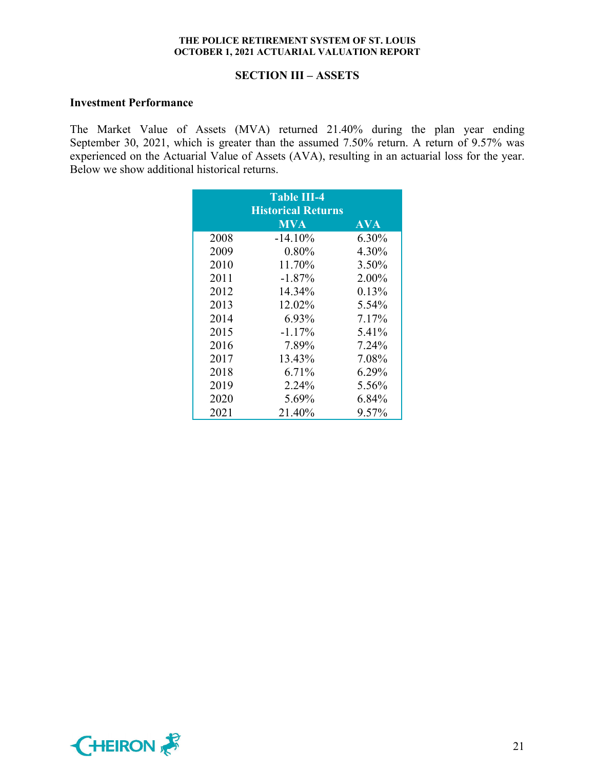### **SECTION III – ASSETS**

#### **Investment Performance**

The Market Value of Assets (MVA) returned 21.40% during the plan year ending September 30, 2021, which is greater than the assumed 7.50% return. A return of 9.57% was experienced on the Actuarial Value of Assets (AVA), resulting in an actuarial loss for the year. Below we show additional historical returns.

|      | <b>Table III-4</b><br><b>Historical Returns</b> |            |
|------|-------------------------------------------------|------------|
|      | <b>MVA</b>                                      | <b>AVA</b> |
| 2008 | $-14.10\%$                                      | 6.30%      |
| 2009 | $0.80\%$                                        | 4.30%      |
| 2010 | 11.70%                                          | 3.50%      |
| 2011 | $-1.87\%$                                       | 2.00%      |
| 2012 | 14.34%                                          | 0.13%      |
| 2013 | 12.02%                                          | 5.54%      |
| 2014 | 6.93%                                           | 7.17%      |
| 2015 | $-1.17\%$                                       | 5.41%      |
| 2016 | 7.89%                                           | 7.24%      |
| 2017 | 13.43%                                          | 7.08%      |
| 2018 | 6.71%                                           | 6.29%      |
| 2019 | 2.24%                                           | 5.56%      |
| 2020 | 5.69%                                           | 6.84%      |
| 2021 | 21.40%                                          | 9.57%      |

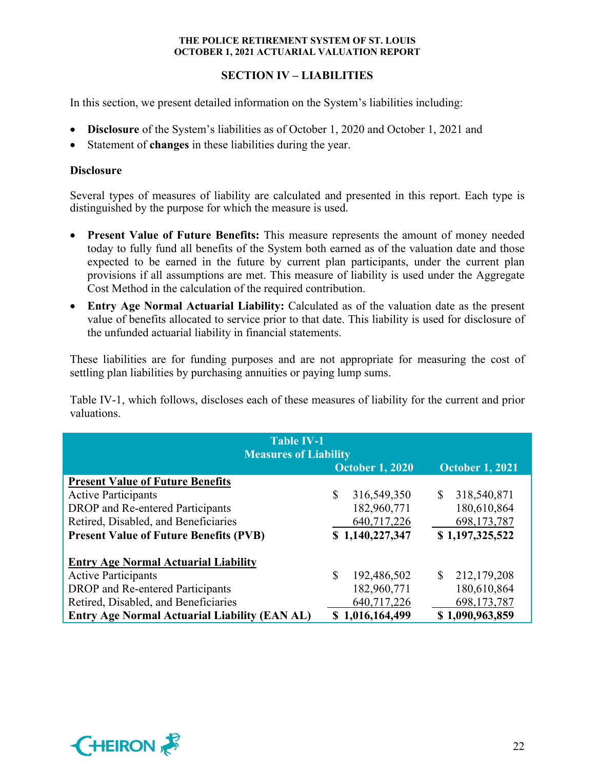# **SECTION IV – LIABILITIES**

In this section, we present detailed information on the System's liabilities including:

- **Disclosure** of the System's liabilities as of October 1, 2020 and October 1, 2021 and
- Statement of **changes** in these liabilities during the year.

# **Disclosure**

Several types of measures of liability are calculated and presented in this report. Each type is distinguished by the purpose for which the measure is used.

- **Present Value of Future Benefits:** This measure represents the amount of money needed today to fully fund all benefits of the System both earned as of the valuation date and those expected to be earned in the future by current plan participants, under the current plan provisions if all assumptions are met. This measure of liability is used under the Aggregate Cost Method in the calculation of the required contribution.
- **Entry Age Normal Actuarial Liability:** Calculated as of the valuation date as the present value of benefits allocated to service prior to that date. This liability is used for disclosure of the unfunded actuarial liability in financial statements.

These liabilities are for funding purposes and are not appropriate for measuring the cost of settling plan liabilities by purchasing annuities or paying lump sums.

Table IV-1, which follows, discloses each of these measures of liability for the current and prior valuations.

| <b>Table IV-1</b><br><b>Measures of Liability</b>    |                        |                             |  |  |  |  |  |
|------------------------------------------------------|------------------------|-----------------------------|--|--|--|--|--|
|                                                      | <b>October 1, 2020</b> | <b>October 1, 2021</b>      |  |  |  |  |  |
| <b>Present Value of Future Benefits</b>              |                        |                             |  |  |  |  |  |
| <b>Active Participants</b>                           | \$<br>316,549,350      | 318,540,871<br>$\mathbb{S}$ |  |  |  |  |  |
| DROP and Re-entered Participants                     | 182,960,771            | 180,610,864                 |  |  |  |  |  |
| Retired, Disabled, and Beneficiaries                 | 640,717,226            | 698,173,787                 |  |  |  |  |  |
| <b>Present Value of Future Benefits (PVB)</b>        | \$1,140,227,347        | \$1,197,325,522             |  |  |  |  |  |
| <b>Entry Age Normal Actuarial Liability</b>          |                        |                             |  |  |  |  |  |
| <b>Active Participants</b>                           | \$<br>192,486,502      | 212,179,208<br>$\mathbb{S}$ |  |  |  |  |  |
| DROP and Re-entered Participants                     | 182,960,771            | 180,610,864                 |  |  |  |  |  |
| Retired, Disabled, and Beneficiaries                 | 640,717,226            | 698,173,787                 |  |  |  |  |  |
| <b>Entry Age Normal Actuarial Liability (EAN AL)</b> | 1,016,164,499<br>S     | \$1,090,963,859             |  |  |  |  |  |

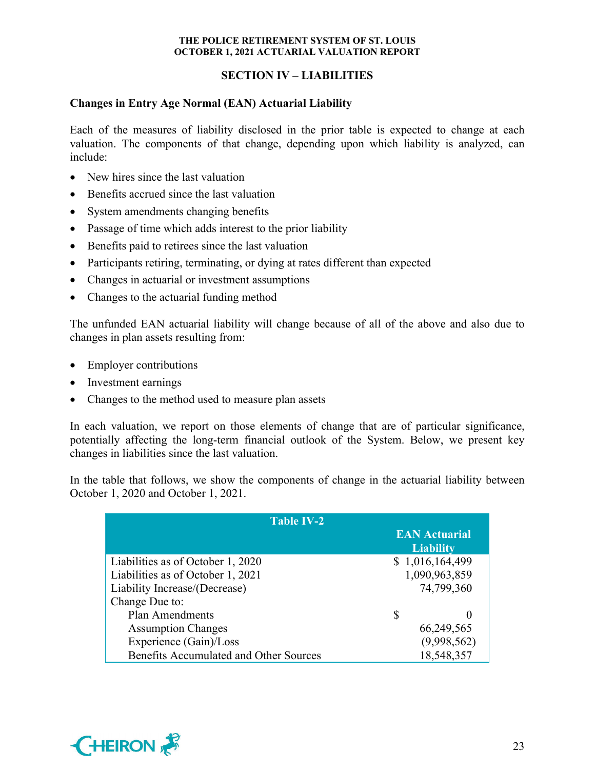# **SECTION IV – LIABILITIES**

# **Changes in Entry Age Normal (EAN) Actuarial Liability**

Each of the measures of liability disclosed in the prior table is expected to change at each valuation. The components of that change, depending upon which liability is analyzed, can include:

- New hires since the last valuation
- Benefits accrued since the last valuation
- System amendments changing benefits
- Passage of time which adds interest to the prior liability
- Benefits paid to retirees since the last valuation
- Participants retiring, terminating, or dying at rates different than expected
- Changes in actuarial or investment assumptions
- Changes to the actuarial funding method

The unfunded EAN actuarial liability will change because of all of the above and also due to changes in plan assets resulting from:

- Employer contributions
- Investment earnings
- Changes to the method used to measure plan assets

In each valuation, we report on those elements of change that are of particular significance, potentially affecting the long-term financial outlook of the System. Below, we present key changes in liabilities since the last valuation.

In the table that follows, we show the components of change in the actuarial liability between October 1, 2020 and October 1, 2021.

| <b>Table IV-2</b>                             |                                          |
|-----------------------------------------------|------------------------------------------|
|                                               | <b>EAN Actuarial</b><br><b>Liability</b> |
| Liabilities as of October 1, 2020             | \$1,016,164,499                          |
| Liabilities as of October 1, 2021             | 1,090,963,859                            |
| Liability Increase/(Decrease)                 | 74,799,360                               |
| Change Due to:                                |                                          |
| <b>Plan Amendments</b>                        | \$                                       |
| <b>Assumption Changes</b>                     | 66,249,565                               |
| Experience (Gain)/Loss                        | (9,998,562)                              |
| <b>Benefits Accumulated and Other Sources</b> | 18,548,357                               |

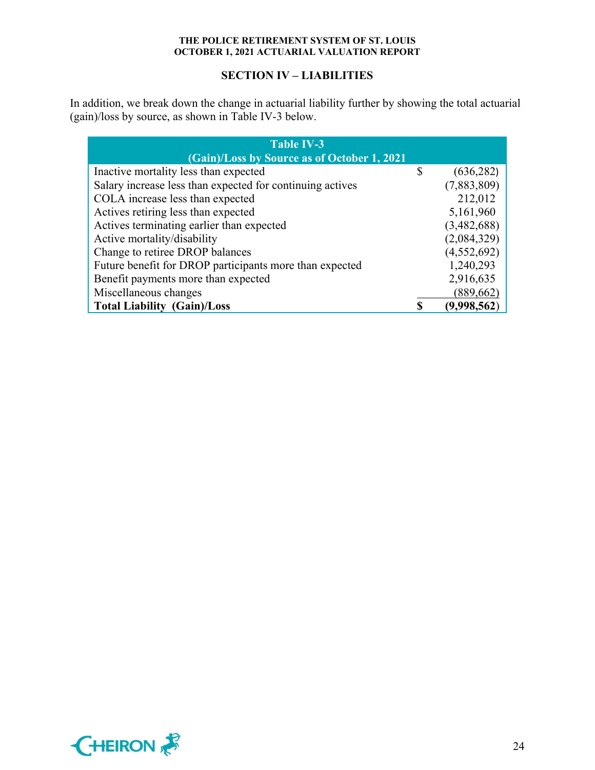# **SECTION IV – LIABILITIES**

In addition, we break down the change in actuarial liability further by showing the total actuarial (gain)/loss by source, as shown in Table IV-3 below.

| <b>Table IV-3</b>                                         |    |             |  |  |  |  |  |  |
|-----------------------------------------------------------|----|-------------|--|--|--|--|--|--|
| (Gain)/Loss by Source as of October 1, 2021               |    |             |  |  |  |  |  |  |
| Inactive mortality less than expected                     | \$ | (636, 282)  |  |  |  |  |  |  |
| Salary increase less than expected for continuing actives |    | (7,883,809) |  |  |  |  |  |  |
| COLA increase less than expected                          |    | 212,012     |  |  |  |  |  |  |
| Actives retiring less than expected                       |    | 5,161,960   |  |  |  |  |  |  |
| Actives terminating earlier than expected                 |    | (3,482,688) |  |  |  |  |  |  |
| Active mortality/disability                               |    | (2,084,329) |  |  |  |  |  |  |
| Change to retiree DROP balances                           |    | (4,552,692) |  |  |  |  |  |  |
| Future benefit for DROP participants more than expected   |    | 1,240,293   |  |  |  |  |  |  |
| Benefit payments more than expected                       |    | 2,916,635   |  |  |  |  |  |  |
| Miscellaneous changes                                     |    | (889, 662)  |  |  |  |  |  |  |
| <b>Total Liability (Gain)/Loss</b>                        |    | (9,998,562) |  |  |  |  |  |  |

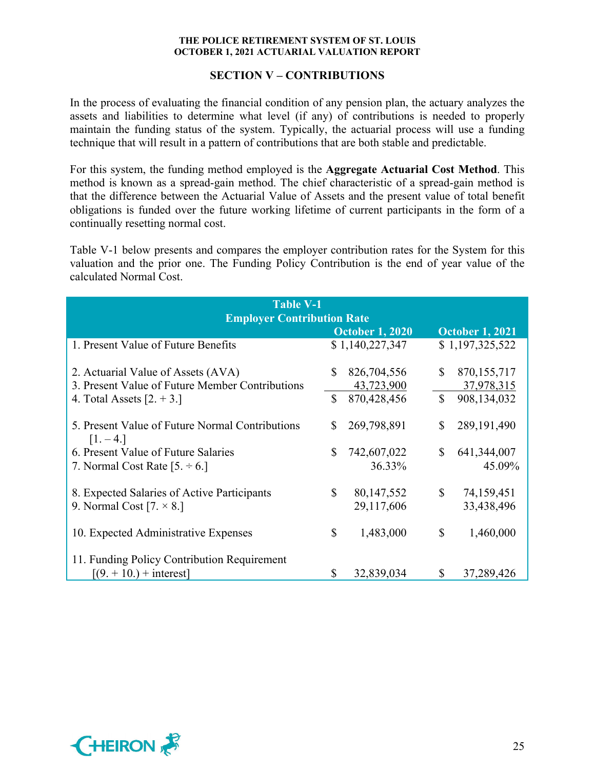### **SECTION V – CONTRIBUTIONS**

In the process of evaluating the financial condition of any pension plan, the actuary analyzes the assets and liabilities to determine what level (if any) of contributions is needed to properly maintain the funding status of the system. Typically, the actuarial process will use a funding technique that will result in a pattern of contributions that are both stable and predictable.

For this system, the funding method employed is the **Aggregate Actuarial Cost Method**. This method is known as a spread-gain method. The chief characteristic of a spread-gain method is that the difference between the Actuarial Value of Assets and the present value of total benefit obligations is funded over the future working lifetime of current participants in the form of a continually resetting normal cost.

Table V-1 below presents and compares the employer contribution rates for the System for this valuation and the prior one. The Funding Policy Contribution is the end of year value of the calculated Normal Cost.

| <b>Table V-1</b><br><b>Employer Contribution Rate</b>          |               |                        |              |                        |  |  |  |
|----------------------------------------------------------------|---------------|------------------------|--------------|------------------------|--|--|--|
|                                                                |               | <b>October 1, 2020</b> |              | <b>October 1, 2021</b> |  |  |  |
| 1. Present Value of Future Benefits                            |               | \$1,140,227,347        |              | \$1,197,325,522        |  |  |  |
| 2. Actuarial Value of Assets (AVA)                             | S             | 826,704,556            | $\mathbb{S}$ | 870, 155, 717          |  |  |  |
| 3. Present Value of Future Member Contributions                |               | 43,723,900             |              | 37,978,315             |  |  |  |
| 4. Total Assets $[2. + 3.]$                                    | $\mathcal{S}$ | 870,428,456            | $\mathbb{S}$ | 908,134,032            |  |  |  |
| 5. Present Value of Future Normal Contributions<br>$[1. - 4.]$ | S             | 269,798,891            | \$           | 289,191,490            |  |  |  |
| 6. Present Value of Future Salaries                            | \$            | 742,607,022            | $\mathbb{S}$ | 641, 344, 007          |  |  |  |
| 7. Normal Cost Rate $[5, \div 6.]$                             |               | 36.33%                 |              | 45.09%                 |  |  |  |
| 8. Expected Salaries of Active Participants                    | \$            | 80, 147, 552           | $\mathbb{S}$ | 74,159,451             |  |  |  |
| 9. Normal Cost $[7. \times 8.]$                                |               | 29,117,606             |              | 33,438,496             |  |  |  |
| 10. Expected Administrative Expenses                           | \$            | 1,483,000              | $\mathbb{S}$ | 1,460,000              |  |  |  |
| 11. Funding Policy Contribution Requirement                    |               |                        |              |                        |  |  |  |
| $[(9. + 10.) + interest]$                                      | S             | 32,839,034             | $\mathbb{S}$ | 37,289,426             |  |  |  |

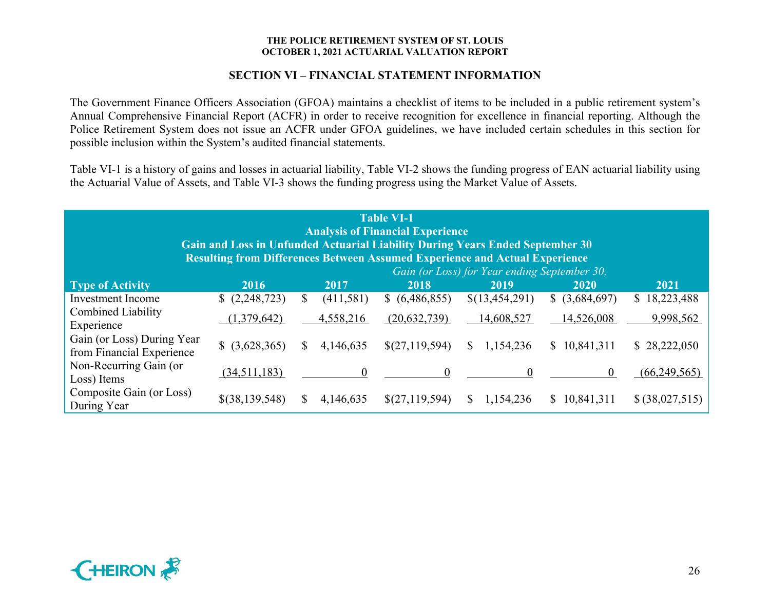# **SECTION VI – FINANCIAL STATEMENT INFORMATION**

The Government Finance Officers Association (GFOA) maintains a checklist of items to be included in a public retirement system's Annual Comprehensive Financial Report (ACFR) in order to receive recognition for excellence in financial reporting. Although the Police Retirement System does not issue an ACFR under GFOA guidelines, we have included certain schedules in this section for possible inclusion within the System's audited financial statements.

Table VI-1 is a history of gains and losses in actuarial liability, Table VI-2 shows the funding progress of EAN actuarial liability using the Actuarial Value of Assets, and Table VI-3 shows the funding progress using the Market Value of Assets.

| <b>Table VI-1</b><br><b>Analysis of Financial Experience</b><br>Gain and Loss in Unfunded Actuarial Liability During Years Ended September 30<br><b>Resulting from Differences Between Assumed Experience and Actual Experience</b> |                |    |                |                |                                                      |                   |                 |  |
|-------------------------------------------------------------------------------------------------------------------------------------------------------------------------------------------------------------------------------------|----------------|----|----------------|----------------|------------------------------------------------------|-------------------|-----------------|--|
| <b>Type of Activity</b>                                                                                                                                                                                                             | 2016           |    | 2017           | 2018           | Gain (or Loss) for Year ending September 30,<br>2019 | 2020              | 2021            |  |
| <b>Investment</b> Income                                                                                                                                                                                                            | (2,248,723)    | \$ | (411,581)      | \$ (6,486,855) | \$(13,454,291)                                       | $$$ $(3,684,697)$ | \$18,223,488    |  |
| <b>Combined Liability</b><br>Experience                                                                                                                                                                                             | (1,379,642)    |    | 4,558,216      | (20, 632, 739) | 14,608,527                                           | 14,526,008        | 9,998,562       |  |
| Gain (or Loss) During Year<br>from Financial Experience                                                                                                                                                                             | \$ (3,628,365) | S  | 4,146,635      | \$(27,119,594) | 1,154,236<br>S.                                      | \$10,841,311      | \$28,222,050    |  |
| Non-Recurring Gain (or<br>Loss) Items                                                                                                                                                                                               | (34,511,183)   |    | $\overline{0}$ | $\mathbf{0}$   | $\overline{0}$                                       | $\theta$          | (66, 249, 565)  |  |
| Composite Gain (or Loss)<br>During Year                                                                                                                                                                                             | \$(38,139,548) |    | 4,146,635      | \$(27,119,594) | 1,154,236<br>S.                                      | \$10,841,311      | \$ (38,027,515) |  |

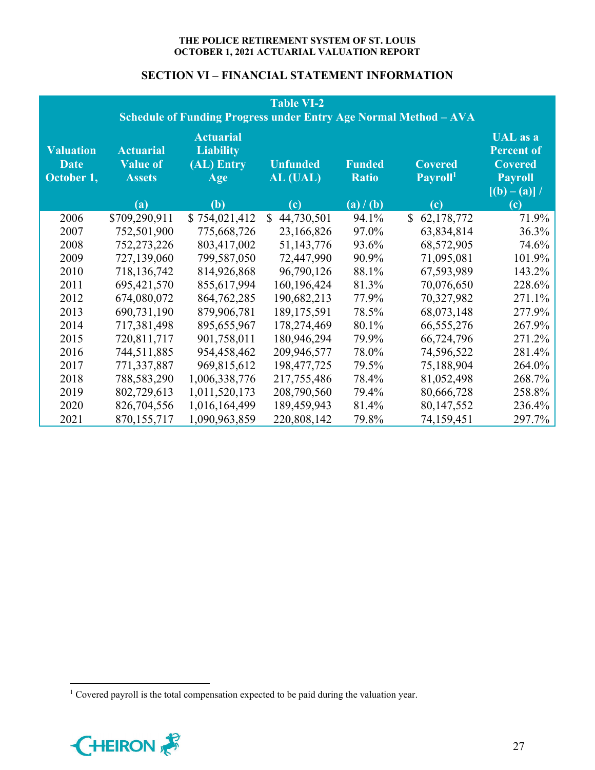# **SECTION VI – FINANCIAL STATEMENT INFORMATION**

|                                               | <b>Table VI-2</b><br>Schedule of Funding Progress under Entry Age Normal Method - AVA |                                                           |                             |                               |                                        |                                                                                          |  |
|-----------------------------------------------|---------------------------------------------------------------------------------------|-----------------------------------------------------------|-----------------------------|-------------------------------|----------------------------------------|------------------------------------------------------------------------------------------|--|
| <b>Valuation</b><br><b>Date</b><br>October 1, | <b>Actuarial</b><br><b>Value of</b><br><b>Assets</b>                                  | <b>Actuarial</b><br><b>Liability</b><br>(AL) Entry<br>Age | <b>Unfunded</b><br>AL (UAL) | <b>Funded</b><br><b>Ratio</b> | <b>Covered</b><br>Payroll <sup>1</sup> | <b>UAL</b> as a<br><b>Percent of</b><br><b>Covered</b><br><b>Payroll</b><br>$[(b)-(a)]/$ |  |
|                                               | (a)                                                                                   | (b)                                                       | (c)                         | (a) / (b)                     | <b>(c)</b>                             | (c)                                                                                      |  |
| 2006                                          | \$709,290,911                                                                         | \$754,021,412                                             | $\mathbb{S}$<br>44,730,501  | 94.1%                         | $\mathbb{S}^-$<br>62,178,772           | 71.9%                                                                                    |  |
| 2007                                          | 752,501,900                                                                           | 775,668,726                                               | 23,166,826                  | 97.0%                         | 63,834,814                             | 36.3%                                                                                    |  |
| 2008                                          | 752,273,226                                                                           | 803,417,002                                               | 51,143,776                  | 93.6%                         | 68,572,905                             | 74.6%                                                                                    |  |
| 2009                                          | 727,139,060                                                                           | 799,587,050                                               | 72,447,990                  | 90.9%                         | 71,095,081                             | 101.9%                                                                                   |  |
| 2010                                          | 718,136,742                                                                           | 814,926,868                                               | 96,790,126                  | 88.1%                         | 67,593,989                             | 143.2%                                                                                   |  |
| 2011                                          | 695,421,570                                                                           | 855,617,994                                               | 160,196,424                 | 81.3%                         | 70,076,650                             | 228.6%                                                                                   |  |
| 2012                                          | 674,080,072                                                                           | 864,762,285                                               | 190,682,213                 | 77.9%                         | 70,327,982                             | 271.1%                                                                                   |  |
| 2013                                          | 690,731,190                                                                           | 879,906,781                                               | 189, 175, 591               | 78.5%                         | 68,073,148                             | 277.9%                                                                                   |  |
| 2014                                          | 717,381,498                                                                           | 895,655,967                                               | 178,274,469                 | 80.1%                         | 66, 555, 276                           | 267.9%                                                                                   |  |
| 2015                                          | 720,811,717                                                                           | 901,758,011                                               | 180,946,294                 | 79.9%                         | 66,724,796                             | 271.2%                                                                                   |  |
| 2016                                          | 744,511,885                                                                           | 954,458,462                                               | 209,946,577                 | 78.0%                         | 74,596,522                             | 281.4%                                                                                   |  |
| 2017                                          | 771,337,887                                                                           | 969,815,612                                               | 198,477,725                 | 79.5%                         | 75,188,904                             | 264.0%                                                                                   |  |
| 2018                                          | 788,583,290                                                                           | 1,006,338,776                                             | 217,755,486                 | 78.4%                         | 81,052,498                             | 268.7%                                                                                   |  |
| 2019                                          | 802,729,613                                                                           | 1,011,520,173                                             | 208,790,560                 | 79.4%                         | 80,666,728                             | 258.8%                                                                                   |  |
| 2020                                          | 826,704,556                                                                           | 1,016,164,499                                             | 189,459,943                 | 81.4%                         | 80,147,552                             | 236.4%                                                                                   |  |
| 2021                                          | 870,155,717                                                                           | 1,090,963,859                                             | 220,808,142                 | 79.8%                         | 74,159,451                             | 297.7%                                                                                   |  |

<sup>&</sup>lt;sup>1</sup> Covered payroll is the total compensation expected to be paid during the valuation year.

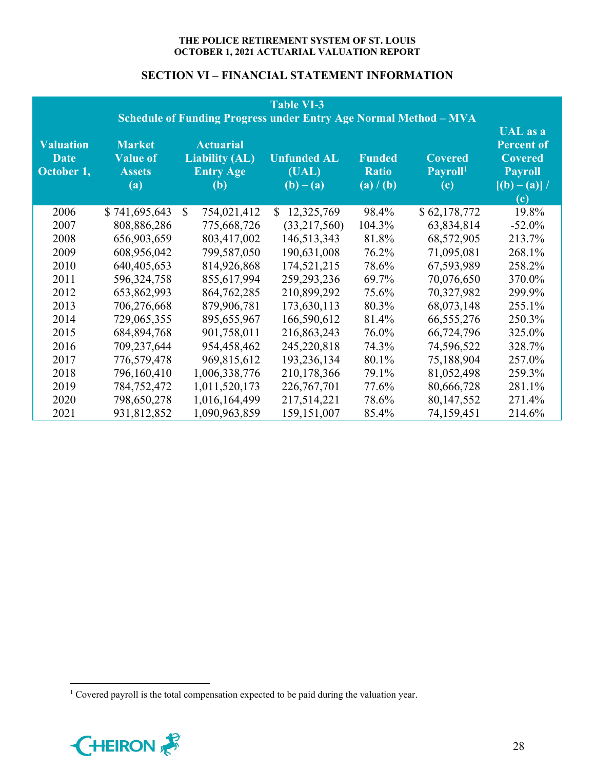# **SECTION VI – FINANCIAL STATEMENT INFORMATION**

|                                               |                                                          |                                                                             | <b>Table VI-3</b><br><b>Schedule of Funding Progress under Entry Age Normal Method - MVA</b> |                                            |                                               |                                                                                                         |
|-----------------------------------------------|----------------------------------------------------------|-----------------------------------------------------------------------------|----------------------------------------------------------------------------------------------|--------------------------------------------|-----------------------------------------------|---------------------------------------------------------------------------------------------------------|
| <b>Valuation</b><br><b>Date</b><br>October 1, | <b>Market</b><br><b>Value of</b><br><b>Assets</b><br>(a) | <b>Actuarial</b><br><b>Liability (AL)</b><br><b>Entry Age</b><br><b>(b)</b> | <b>Unfunded AL</b><br>(UAL)<br>$(b) - (a)$                                                   | <b>Funded</b><br><b>Ratio</b><br>(a) / (b) | <b>Covered</b><br>Payroll <sup>1</sup><br>(c) | <b>UAL</b> as a<br><b>Percent of</b><br><b>Covered</b><br><b>Payroll</b><br>$[(b) - (a)]$<br><b>(c)</b> |
| 2006                                          | \$741,695,643                                            | $\mathbb{S}$<br>754,021,412                                                 | 12,325,769<br>$\mathbb{S}$                                                                   | 98.4%                                      | \$62,178,772                                  | 19.8%                                                                                                   |
| 2007                                          | 808,886,286                                              | 775,668,726                                                                 | (33,217,560)                                                                                 | 104.3%                                     | 63,834,814                                    | $-52.0\%$                                                                                               |
| 2008                                          | 656,903,659                                              | 803,417,002                                                                 | 146,513,343                                                                                  | 81.8%                                      | 68,572,905                                    | 213.7%                                                                                                  |
| 2009                                          | 608,956,042                                              | 799,587,050                                                                 | 190,631,008                                                                                  | 76.2%                                      | 71,095,081                                    | 268.1%                                                                                                  |
| 2010                                          | 640,405,653                                              | 814,926,868                                                                 | 174,521,215                                                                                  | 78.6%                                      | 67,593,989                                    | 258.2%                                                                                                  |
| 2011                                          | 596,324,758                                              | 855,617,994                                                                 | 259, 293, 236                                                                                | 69.7%                                      | 70,076,650                                    | 370.0%                                                                                                  |
| 2012                                          | 653,862,993                                              | 864, 762, 285                                                               | 210,899,292                                                                                  | 75.6%                                      | 70,327,982                                    | 299.9%                                                                                                  |
| 2013                                          | 706,276,668                                              | 879,906,781                                                                 | 173,630,113                                                                                  | 80.3%                                      | 68,073,148                                    | 255.1%                                                                                                  |
| 2014                                          | 729,065,355                                              | 895,655,967                                                                 | 166,590,612                                                                                  | 81.4%                                      | 66,555,276                                    | 250.3%                                                                                                  |
| 2015                                          | 684, 894, 768                                            | 901,758,011                                                                 | 216,863,243                                                                                  | 76.0%                                      | 66,724,796                                    | 325.0%                                                                                                  |
| 2016                                          | 709,237,644                                              | 954,458,462                                                                 | 245,220,818                                                                                  | 74.3%                                      | 74,596,522                                    | 328.7%                                                                                                  |
| 2017                                          | 776,579,478                                              | 969,815,612                                                                 | 193,236,134                                                                                  | 80.1%                                      | 75,188,904                                    | 257.0%                                                                                                  |
| 2018                                          | 796,160,410                                              | 1,006,338,776                                                               | 210,178,366                                                                                  | 79.1%                                      | 81,052,498                                    | 259.3%                                                                                                  |
| 2019                                          | 784,752,472                                              | 1,011,520,173                                                               | 226, 767, 701                                                                                | 77.6%                                      | 80,666,728                                    | 281.1%                                                                                                  |
| 2020                                          | 798,650,278                                              | 1,016,164,499                                                               | 217,514,221                                                                                  | 78.6%                                      | 80,147,552                                    | 271.4%                                                                                                  |
| 2021                                          | 931,812,852                                              | 1,090,963,859                                                               | 159, 151, 007                                                                                | 85.4%                                      | 74,159,451                                    | 214.6%                                                                                                  |

<sup>&</sup>lt;sup>1</sup> Covered payroll is the total compensation expected to be paid during the valuation year.

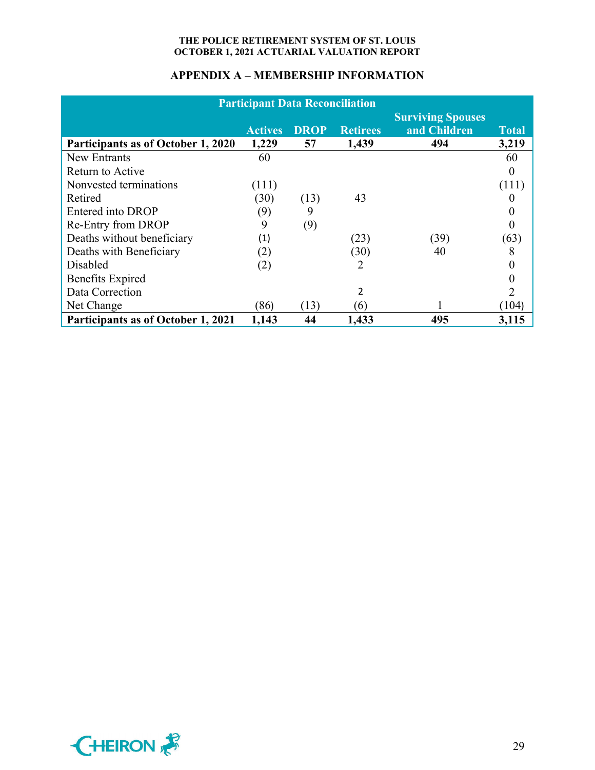| <b>Participant Data Reconciliation</b> |                |             |                 |                                          |              |
|----------------------------------------|----------------|-------------|-----------------|------------------------------------------|--------------|
|                                        | <b>Actives</b> | <b>DROP</b> | <b>Retirees</b> | <b>Surviving Spouses</b><br>and Children | <b>Total</b> |
| Participants as of October 1, 2020     | 1,229          | 57          | 1,439           | 494                                      | 3,219        |
| <b>New Entrants</b>                    | 60             |             |                 |                                          | 60           |
| Return to Active                       |                |             |                 |                                          |              |
| Nonvested terminations                 | (111)          |             |                 |                                          | (111)        |
| Retired                                | (30)           | (13)        | 43              |                                          |              |
| Entered into DROP                      | (9)            | 9           |                 |                                          |              |
| Re-Entry from DROP                     | 9              | (9)         |                 |                                          |              |
| Deaths without beneficiary             | (1)            |             | (23)            | (39)                                     | (63)         |
| Deaths with Beneficiary                | (2)            |             | (30)            | 40                                       | 8            |
| Disabled                               | (2)            |             | 2               |                                          |              |
| <b>Benefits Expired</b>                |                |             |                 |                                          |              |
| Data Correction                        |                |             | 2               |                                          | 2            |
| Net Change                             | (86)           | (13)        | (6)             |                                          | (104)        |
| Participants as of October 1, 2021     | 1,143          | 44          | 1,433           | 495                                      | 3,115        |

# **APPENDIX A – MEMBERSHIP INFORMATION**

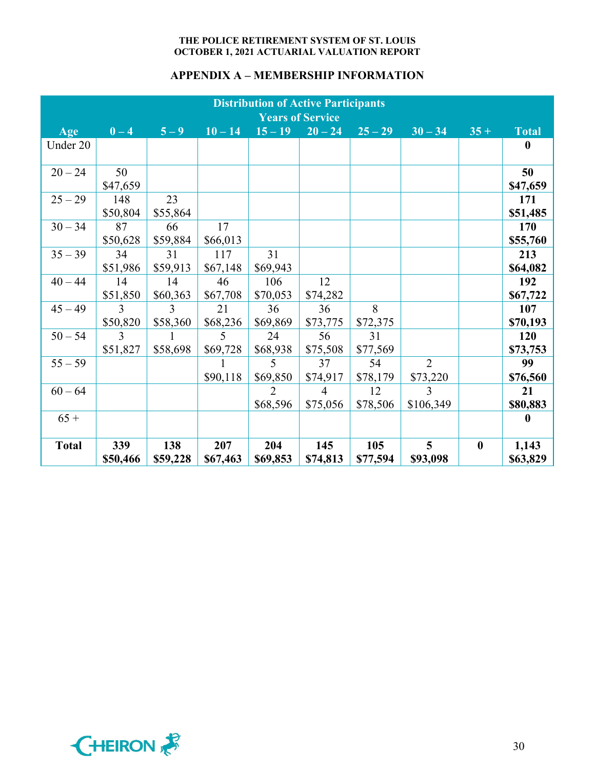# **APPENDIX A – MEMBERSHIP INFORMATION**

|              | <b>Distribution of Active Participants</b><br><b>Years of Service</b> |               |           |                |                |           |                |          |                  |
|--------------|-----------------------------------------------------------------------|---------------|-----------|----------------|----------------|-----------|----------------|----------|------------------|
| Age          | $0-4$                                                                 | $5-9$         | $10 - 14$ | $15 - 19$      | $20 - 24$      | $25 - 29$ | $30 - 34$      | $35 +$   | <b>Total</b>     |
| Under 20     |                                                                       |               |           |                |                |           |                |          | $\bf{0}$         |
|              |                                                                       |               |           |                |                |           |                |          |                  |
| $20 - 24$    | 50                                                                    |               |           |                |                |           |                |          | 50               |
|              | \$47,659                                                              |               |           |                |                |           |                |          | \$47,659         |
| $25 - 29$    | 148                                                                   | 23            |           |                |                |           |                |          | 171              |
|              | \$50,804                                                              | \$55,864      |           |                |                |           |                |          | \$51,485         |
| $30 - 34$    | 87                                                                    | 66            | 17        |                |                |           |                |          | 170              |
|              | \$50,628                                                              | \$59,884      | \$66,013  |                |                |           |                |          | \$55,760         |
| $35 - 39$    | 34                                                                    | 31            | 117       | 31             |                |           |                |          | 213              |
|              | \$51,986                                                              | \$59,913      | \$67,148  | \$69,943       |                |           |                |          | \$64,082         |
| $40 - 44$    | 14                                                                    | 14            | 46        | 106            | 12             |           |                |          | 192              |
|              | \$51,850                                                              | \$60,363      | \$67,708  | \$70,053       | \$74,282       |           |                |          | \$67,722         |
| $45 - 49$    | $\mathcal{L}$                                                         | $\mathcal{L}$ | 21        | 36             | 36             | 8         |                |          | 107              |
|              | \$50,820                                                              | \$58,360      | \$68,236  | \$69,869       | \$73,775       | \$72,375  |                |          | \$70,193         |
| $50 - 54$    | 3                                                                     |               | 5         | 24             | 56             | 31        |                |          | 120              |
|              | \$51,827                                                              | \$58,698      | \$69,728  | \$68,938       | \$75,508       | \$77,569  |                |          | \$73,753         |
| $55 - 59$    |                                                                       |               |           | 5              | 37             | 54        | $\overline{2}$ |          | 99               |
|              |                                                                       |               | \$90,118  | \$69,850       | \$74,917       | \$78,179  | \$73,220       |          | \$76,560         |
| $60 - 64$    |                                                                       |               |           | $\overline{2}$ | $\overline{4}$ | 12        | 3              |          | 21               |
|              |                                                                       |               |           | \$68,596       | \$75,056       | \$78,506  | \$106,349      |          | \$80,883         |
| $65+$        |                                                                       |               |           |                |                |           |                |          | $\boldsymbol{0}$ |
|              |                                                                       |               |           |                |                |           |                |          |                  |
| <b>Total</b> | 339                                                                   | 138           | 207       | 204            | 145            | 105       | 5              | $\bf{0}$ | 1,143            |
|              | \$50,466                                                              | \$59,228      | \$67,463  | \$69,853       | \$74,813       | \$77,594  | \$93,098       |          | \$63,829         |

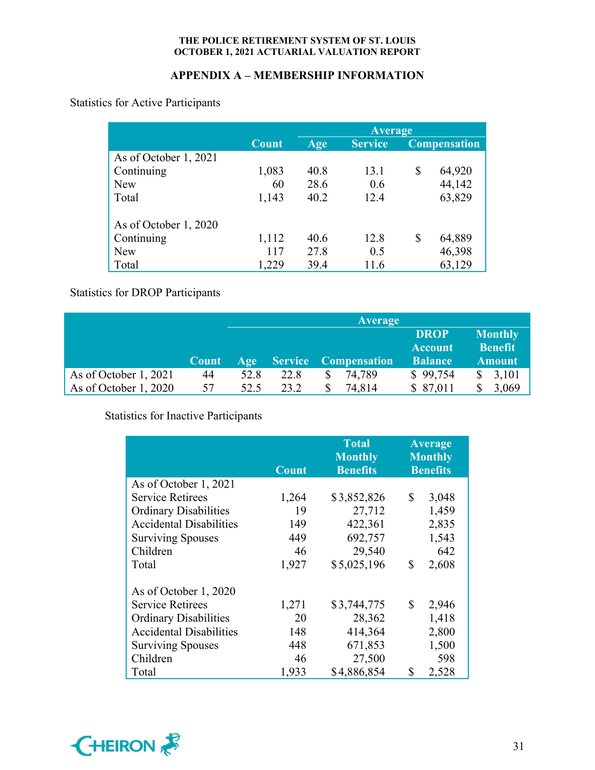# **APPENDIX A – MEMBERSHIP INFORMATION**

Statistics for Active Participants

|                       |              | <b>Average</b> |                |    |                     |  |
|-----------------------|--------------|----------------|----------------|----|---------------------|--|
|                       | <b>Count</b> | Age            | <b>Service</b> |    | <b>Compensation</b> |  |
| As of October 1, 2021 |              |                |                |    |                     |  |
| Continuing            | 1,083        | 40.8           | 13.1           | \$ | 64,920              |  |
| <b>New</b>            | 60           | 28.6           | 0.6            |    | 44,142              |  |
| Total                 | 1,143        | 40.2           | 12.4           |    | 63,829              |  |
| As of October 1, 2020 |              |                |                |    |                     |  |
| Continuing            | 1,112        | 40.6           | 12.8           | \$ | 64,889              |  |
| <b>New</b>            | 117          | 27.8           | 0.5            |    | 46,398              |  |
| Total                 | 1,229        | 39.4           | 11.6           |    | 63,129              |  |

# Statistics for DROP Participants

|                               |       |       |      | <b>Average</b>              |                                                 |                                                   |
|-------------------------------|-------|-------|------|-----------------------------|-------------------------------------------------|---------------------------------------------------|
|                               | Count | Age / |      | <b>Service Compensation</b> | <b>DROP</b><br><b>Account</b><br><b>Balance</b> | <b>Monthly</b><br><b>Benefit</b><br><b>Amount</b> |
| As of October 1, 2021         | 44    | 52.8  | 22.8 | 74,789                      | \$99,754                                        | 3,101                                             |
| $\vert$ As of October 1, 2020 | 57    | 52.5  | 23.2 | 74,814<br>S.                | \$87,011                                        | 3,069                                             |

# Statistics for Inactive Participants

|                                | <b>Count</b> | <b>Total</b><br><b>Monthly</b><br><b>Benefits</b> | <b>Average</b><br><b>Monthly</b><br><b>Benefits</b> |  |
|--------------------------------|--------------|---------------------------------------------------|-----------------------------------------------------|--|
| As of October 1, 2021          |              |                                                   |                                                     |  |
| <b>Service Retirees</b>        | 1,264        | \$3,852,826                                       | \$<br>3,048                                         |  |
| <b>Ordinary Disabilities</b>   | 19           | 27,712                                            | 1,459                                               |  |
| <b>Accidental Disabilities</b> | 149          | 422,361                                           | 2,835                                               |  |
| <b>Surviving Spouses</b>       | 449          | 692,757                                           | 1,543                                               |  |
| Children                       | 46           | 29,540                                            | 642                                                 |  |
| Total                          | 1,927        | \$5,025,196                                       | \$<br>2,608                                         |  |
| As of October 1, 2020          |              |                                                   |                                                     |  |
| <b>Service Retirees</b>        | 1,271        | \$3,744,775                                       | \$<br>2,946                                         |  |
| <b>Ordinary Disabilities</b>   | 20           | 28,362                                            | 1,418                                               |  |
| <b>Accidental Disabilities</b> | 148          | 414,364                                           | 2,800                                               |  |
| <b>Surviving Spouses</b>       | 448          | 671,853                                           | 1,500                                               |  |
| Children                       | 46           | 27,500                                            | 598                                                 |  |
| Total                          | 1,933        | \$4,886,854                                       | \$<br>2,528                                         |  |

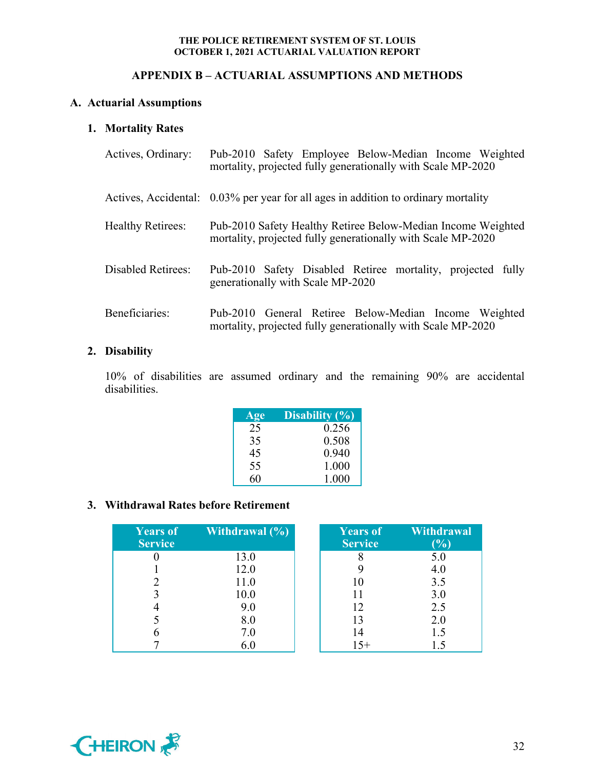# **APPENDIX B – ACTUARIAL ASSUMPTIONS AND METHODS**

# **A. Actuarial Assumptions**

# **1. Mortality Rates**

| Actives, Ordinary:       | Pub-2010 Safety Employee Below-Median Income Weighted<br>mortality, projected fully generationally with Scale MP-2020        |
|--------------------------|------------------------------------------------------------------------------------------------------------------------------|
|                          | Actives, Accidental: 0.03% per year for all ages in addition to ordinary mortality                                           |
| <b>Healthy Retirees:</b> | Pub-2010 Safety Healthy Retiree Below-Median Income Weighted<br>mortality, projected fully generationally with Scale MP-2020 |
| Disabled Retirees:       | Pub-2010 Safety Disabled Retiree mortality, projected fully<br>generationally with Scale MP-2020                             |
| Beneficiaries:           | Pub-2010 General Retiree Below-Median Income Weighted<br>mortality, projected fully generationally with Scale MP-2020        |

# **2. Disability**

10% of disabilities are assumed ordinary and the remaining 90% are accidental disabilities.

| Age | Disability $(\% )$ |
|-----|--------------------|
| 25  | 0.256              |
| 35  | 0.508              |
| 45  | 0.940              |
| 55  | 1.000              |
| 60  | 1.000              |

# **3. Withdrawal Rates before Retirement**

| <b>Years of</b><br><b>Service</b> | <b>Withdrawal</b> $(\%)$ | Years of<br><b>Service</b> | Withdrawal<br>(%) |
|-----------------------------------|--------------------------|----------------------------|-------------------|
|                                   | 13.0                     |                            | 5.0               |
|                                   | 12.0                     |                            | 4.0               |
|                                   | 11.0                     | 10                         | 3.5               |
|                                   | 10.0                     |                            | 3.0               |
|                                   | 9.0                      | 12                         | 2.5               |
|                                   | 8.0                      | 13                         | 2.0               |
|                                   | 7.0                      | 14                         | 1.5               |
|                                   | 6.0                      | 15+                        |                   |

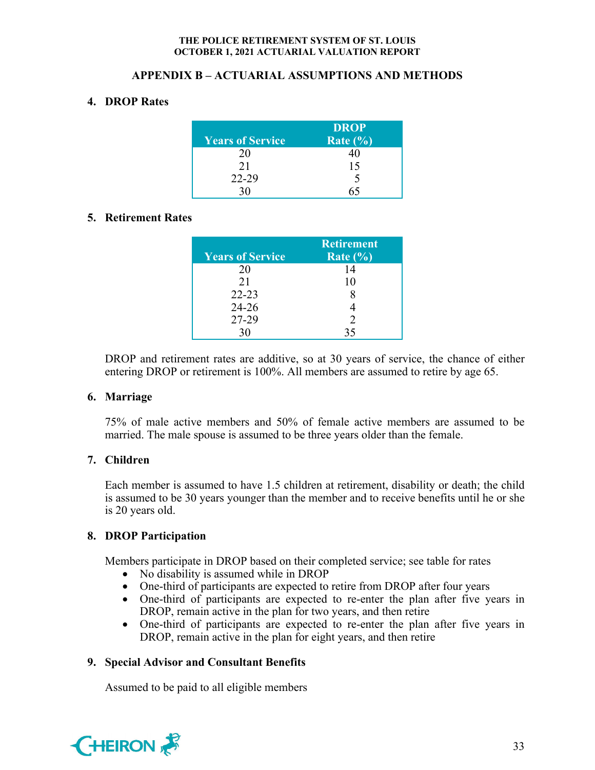# **APPENDIX B – ACTUARIAL ASSUMPTIONS AND METHODS**

# **4. DROP Rates**

| <b>Years of Service</b> | <b>DROP</b><br>Rate $(\% )$ |
|-------------------------|-----------------------------|
| 20                      |                             |
| 21                      | 15                          |
| $22 - 29$               |                             |
|                         |                             |

# **5. Retirement Rates**

| <b>Years of Service</b> | <b>Retirement</b><br>Rate $(\% )$ |
|-------------------------|-----------------------------------|
| 20                      | 14                                |
| 21                      | 10                                |
| $22 - 23$               |                                   |
| $24 - 26$               |                                   |
| 27-29                   | $\mathcal{D}$                     |
| 30                      | 35                                |

DROP and retirement rates are additive, so at 30 years of service, the chance of either entering DROP or retirement is 100%. All members are assumed to retire by age 65.

# **6. Marriage**

75% of male active members and 50% of female active members are assumed to be married. The male spouse is assumed to be three years older than the female.

# **7. Children**

Each member is assumed to have 1.5 children at retirement, disability or death; the child is assumed to be 30 years younger than the member and to receive benefits until he or she is 20 years old.

# **8. DROP Participation**

Members participate in DROP based on their completed service; see table for rates

- No disability is assumed while in DROP
- One-third of participants are expected to retire from DROP after four years
- One-third of participants are expected to re-enter the plan after five years in DROP, remain active in the plan for two years, and then retire
- One-third of participants are expected to re-enter the plan after five years in DROP, remain active in the plan for eight years, and then retire

# **9. Special Advisor and Consultant Benefits**

Assumed to be paid to all eligible members

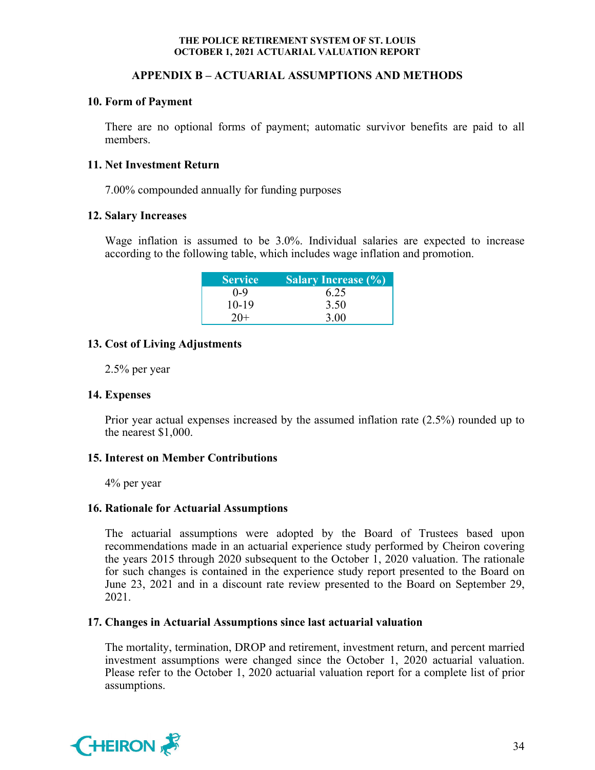# **APPENDIX B – ACTUARIAL ASSUMPTIONS AND METHODS**

# **10. Form of Payment**

There are no optional forms of payment; automatic survivor benefits are paid to all members.

### **11. Net Investment Return**

7.00% compounded annually for funding purposes

### **12. Salary Increases**

 Wage inflation is assumed to be 3.0%. Individual salaries are expected to increase according to the following table, which includes wage inflation and promotion.

| <b>Service</b> | <b>Salary Increase (%)</b> |
|----------------|----------------------------|
| $0 - 9$        | 6.25                       |
| $10-19$        | 3.50                       |
| $20+$          | 3.00                       |

# **13. Cost of Living Adjustments**

2.5% per year

#### **14. Expenses**

Prior year actual expenses increased by the assumed inflation rate (2.5%) rounded up to the nearest \$1,000.

# **15. Interest on Member Contributions**

4% per year

# **16. Rationale for Actuarial Assumptions**

The actuarial assumptions were adopted by the Board of Trustees based upon recommendations made in an actuarial experience study performed by Cheiron covering the years 2015 through 2020 subsequent to the October 1, 2020 valuation. The rationale for such changes is contained in the experience study report presented to the Board on June 23, 2021 and in a discount rate review presented to the Board on September 29, 2021.

# **17. Changes in Actuarial Assumptions since last actuarial valuation**

The mortality, termination, DROP and retirement, investment return, and percent married investment assumptions were changed since the October 1, 2020 actuarial valuation. Please refer to the October 1, 2020 actuarial valuation report for a complete list of prior assumptions.

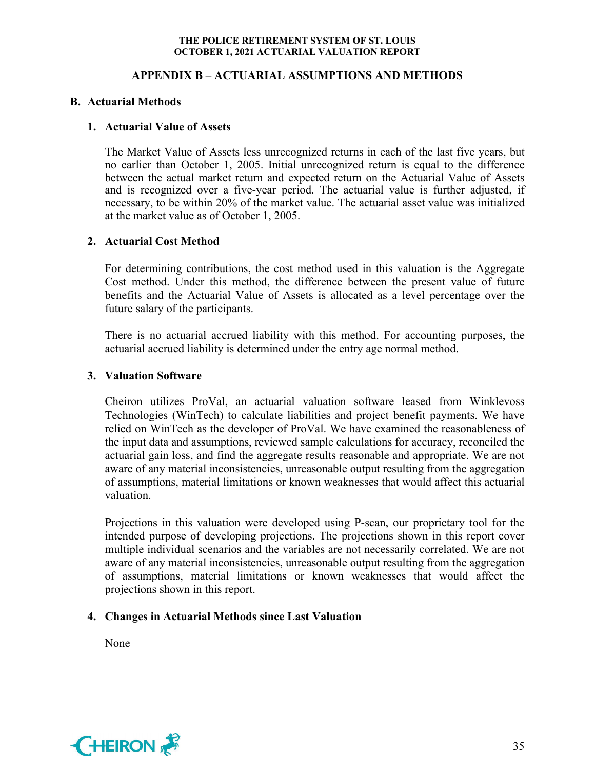# **APPENDIX B – ACTUARIAL ASSUMPTIONS AND METHODS**

# **B. Actuarial Methods**

# **1. Actuarial Value of Assets**

The Market Value of Assets less unrecognized returns in each of the last five years, but no earlier than October 1, 2005. Initial unrecognized return is equal to the difference between the actual market return and expected return on the Actuarial Value of Assets and is recognized over a five-year period. The actuarial value is further adjusted, if necessary, to be within 20% of the market value. The actuarial asset value was initialized at the market value as of October 1, 2005.

# **2. Actuarial Cost Method**

For determining contributions, the cost method used in this valuation is the Aggregate Cost method. Under this method, the difference between the present value of future benefits and the Actuarial Value of Assets is allocated as a level percentage over the future salary of the participants.

There is no actuarial accrued liability with this method. For accounting purposes, the actuarial accrued liability is determined under the entry age normal method.

# **3. Valuation Software**

Cheiron utilizes ProVal, an actuarial valuation software leased from Winklevoss Technologies (WinTech) to calculate liabilities and project benefit payments. We have relied on WinTech as the developer of ProVal. We have examined the reasonableness of the input data and assumptions, reviewed sample calculations for accuracy, reconciled the actuarial gain loss, and find the aggregate results reasonable and appropriate. We are not aware of any material inconsistencies, unreasonable output resulting from the aggregation of assumptions, material limitations or known weaknesses that would affect this actuarial valuation.

Projections in this valuation were developed using P-scan, our proprietary tool for the intended purpose of developing projections. The projections shown in this report cover multiple individual scenarios and the variables are not necessarily correlated. We are not aware of any material inconsistencies, unreasonable output resulting from the aggregation of assumptions, material limitations or known weaknesses that would affect the projections shown in this report.

# **4. Changes in Actuarial Methods since Last Valuation**

None

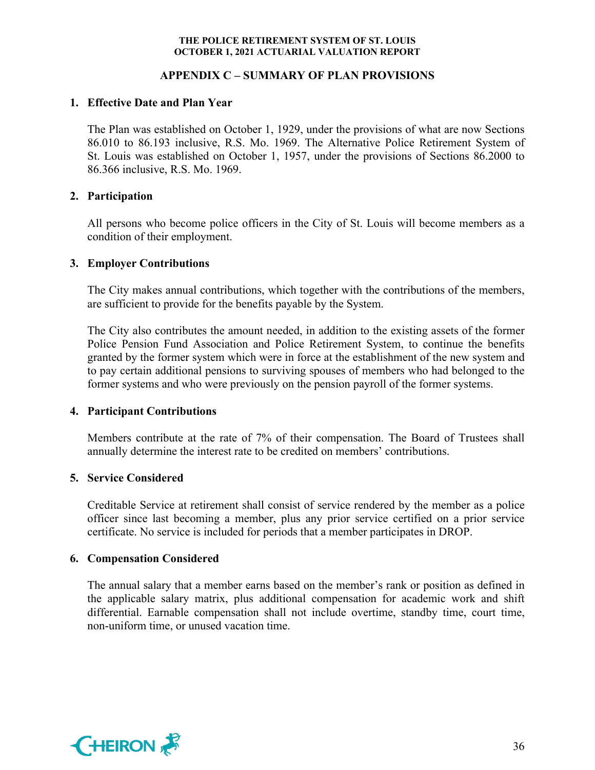# **APPENDIX C – SUMMARY OF PLAN PROVISIONS**

# **1. Effective Date and Plan Year**

The Plan was established on October 1, 1929, under the provisions of what are now Sections 86.010 to 86.193 inclusive, R.S. Mo. 1969. The Alternative Police Retirement System of St. Louis was established on October 1, 1957, under the provisions of Sections 86.2000 to 86.366 inclusive, R.S. Mo. 1969.

# **2. Participation**

All persons who become police officers in the City of St. Louis will become members as a condition of their employment.

# **3. Employer Contributions**

The City makes annual contributions, which together with the contributions of the members, are sufficient to provide for the benefits payable by the System.

The City also contributes the amount needed, in addition to the existing assets of the former Police Pension Fund Association and Police Retirement System, to continue the benefits granted by the former system which were in force at the establishment of the new system and to pay certain additional pensions to surviving spouses of members who had belonged to the former systems and who were previously on the pension payroll of the former systems.

# **4. Participant Contributions**

Members contribute at the rate of 7% of their compensation. The Board of Trustees shall annually determine the interest rate to be credited on members' contributions.

# **5. Service Considered**

Creditable Service at retirement shall consist of service rendered by the member as a police officer since last becoming a member, plus any prior service certified on a prior service certificate. No service is included for periods that a member participates in DROP.

# **6. Compensation Considered**

The annual salary that a member earns based on the member's rank or position as defined in the applicable salary matrix, plus additional compensation for academic work and shift differential. Earnable compensation shall not include overtime, standby time, court time, non-uniform time, or unused vacation time.

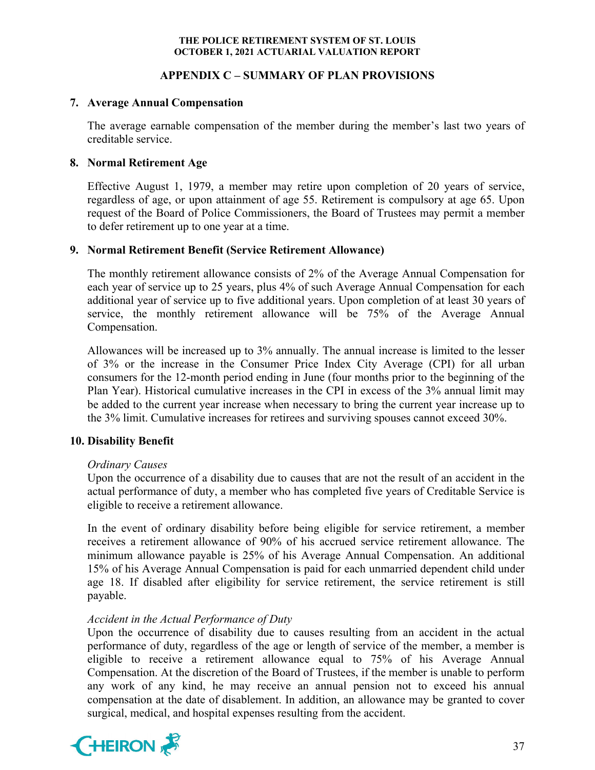# **APPENDIX C – SUMMARY OF PLAN PROVISIONS**

### **7. Average Annual Compensation**

The average earnable compensation of the member during the member's last two years of creditable service.

# **8. Normal Retirement Age**

Effective August 1, 1979, a member may retire upon completion of 20 years of service, regardless of age, or upon attainment of age 55. Retirement is compulsory at age 65. Upon request of the Board of Police Commissioners, the Board of Trustees may permit a member to defer retirement up to one year at a time.

# **9. Normal Retirement Benefit (Service Retirement Allowance)**

The monthly retirement allowance consists of 2% of the Average Annual Compensation for each year of service up to 25 years, plus 4% of such Average Annual Compensation for each additional year of service up to five additional years. Upon completion of at least 30 years of service, the monthly retirement allowance will be 75% of the Average Annual Compensation.

Allowances will be increased up to 3% annually. The annual increase is limited to the lesser of 3% or the increase in the Consumer Price Index City Average (CPI) for all urban consumers for the 12-month period ending in June (four months prior to the beginning of the Plan Year). Historical cumulative increases in the CPI in excess of the 3% annual limit may be added to the current year increase when necessary to bring the current year increase up to the 3% limit. Cumulative increases for retirees and surviving spouses cannot exceed 30%.

# **10. Disability Benefit**

# *Ordinary Causes*

Upon the occurrence of a disability due to causes that are not the result of an accident in the actual performance of duty, a member who has completed five years of Creditable Service is eligible to receive a retirement allowance.

In the event of ordinary disability before being eligible for service retirement, a member receives a retirement allowance of 90% of his accrued service retirement allowance. The minimum allowance payable is 25% of his Average Annual Compensation. An additional 15% of his Average Annual Compensation is paid for each unmarried dependent child under age 18. If disabled after eligibility for service retirement, the service retirement is still payable.

# *Accident in the Actual Performance of Duty*

Upon the occurrence of disability due to causes resulting from an accident in the actual performance of duty, regardless of the age or length of service of the member, a member is eligible to receive a retirement allowance equal to 75% of his Average Annual Compensation. At the discretion of the Board of Trustees, if the member is unable to perform any work of any kind, he may receive an annual pension not to exceed his annual compensation at the date of disablement. In addition, an allowance may be granted to cover surgical, medical, and hospital expenses resulting from the accident.

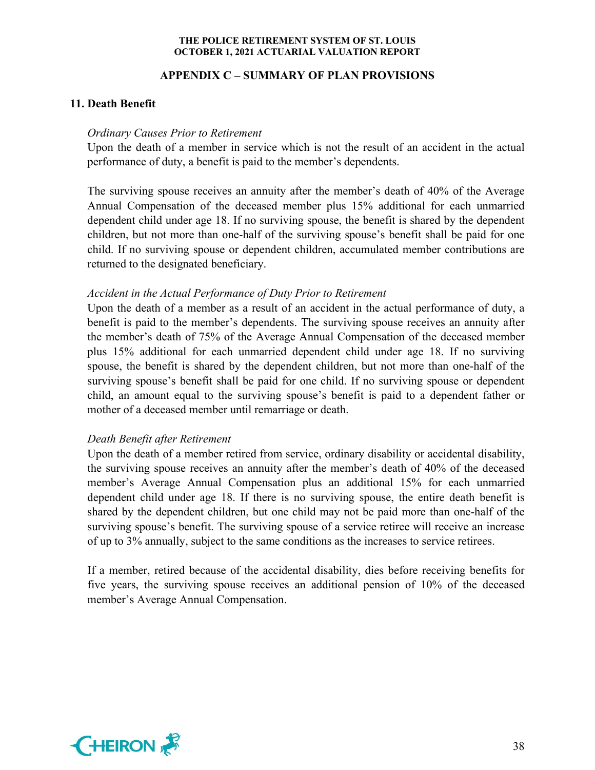# **APPENDIX C – SUMMARY OF PLAN PROVISIONS**

# **11. Death Benefit**

### *Ordinary Causes Prior to Retirement*

Upon the death of a member in service which is not the result of an accident in the actual performance of duty, a benefit is paid to the member's dependents.

The surviving spouse receives an annuity after the member's death of 40% of the Average Annual Compensation of the deceased member plus 15% additional for each unmarried dependent child under age 18. If no surviving spouse, the benefit is shared by the dependent children, but not more than one-half of the surviving spouse's benefit shall be paid for one child. If no surviving spouse or dependent children, accumulated member contributions are returned to the designated beneficiary.

# *Accident in the Actual Performance of Duty Prior to Retirement*

Upon the death of a member as a result of an accident in the actual performance of duty, a benefit is paid to the member's dependents. The surviving spouse receives an annuity after the member's death of 75% of the Average Annual Compensation of the deceased member plus 15% additional for each unmarried dependent child under age 18. If no surviving spouse, the benefit is shared by the dependent children, but not more than one-half of the surviving spouse's benefit shall be paid for one child. If no surviving spouse or dependent child, an amount equal to the surviving spouse's benefit is paid to a dependent father or mother of a deceased member until remarriage or death.

# *Death Benefit after Retirement*

Upon the death of a member retired from service, ordinary disability or accidental disability, the surviving spouse receives an annuity after the member's death of 40% of the deceased member's Average Annual Compensation plus an additional 15% for each unmarried dependent child under age 18. If there is no surviving spouse, the entire death benefit is shared by the dependent children, but one child may not be paid more than one-half of the surviving spouse's benefit. The surviving spouse of a service retiree will receive an increase of up to 3% annually, subject to the same conditions as the increases to service retirees.

If a member, retired because of the accidental disability, dies before receiving benefits for five years, the surviving spouse receives an additional pension of 10% of the deceased member's Average Annual Compensation.

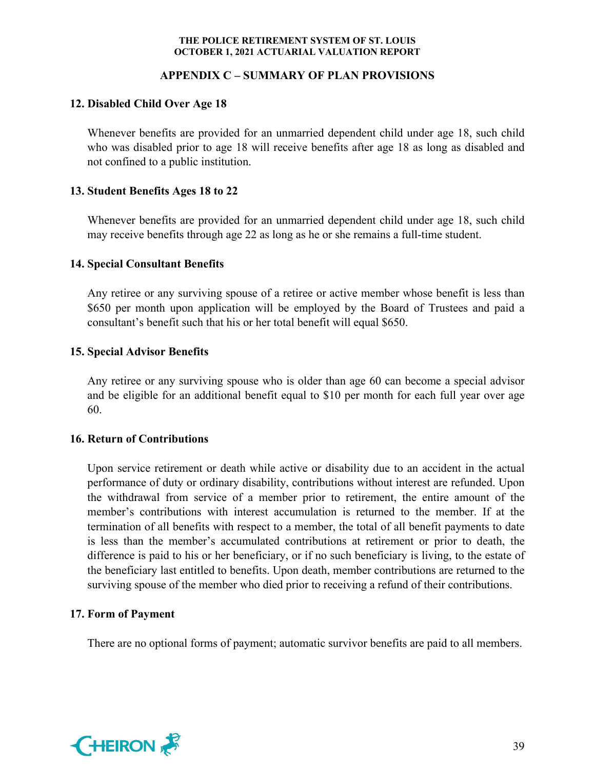# **APPENDIX C – SUMMARY OF PLAN PROVISIONS**

# **12. Disabled Child Over Age 18**

Whenever benefits are provided for an unmarried dependent child under age 18, such child who was disabled prior to age 18 will receive benefits after age 18 as long as disabled and not confined to a public institution.

# **13. Student Benefits Ages 18 to 22**

Whenever benefits are provided for an unmarried dependent child under age 18, such child may receive benefits through age 22 as long as he or she remains a full-time student.

# **14. Special Consultant Benefits**

Any retiree or any surviving spouse of a retiree or active member whose benefit is less than \$650 per month upon application will be employed by the Board of Trustees and paid a consultant's benefit such that his or her total benefit will equal \$650.

# **15. Special Advisor Benefits**

Any retiree or any surviving spouse who is older than age 60 can become a special advisor and be eligible for an additional benefit equal to \$10 per month for each full year over age 60.

# **16. Return of Contributions**

Upon service retirement or death while active or disability due to an accident in the actual performance of duty or ordinary disability, contributions without interest are refunded. Upon the withdrawal from service of a member prior to retirement, the entire amount of the member's contributions with interest accumulation is returned to the member. If at the termination of all benefits with respect to a member, the total of all benefit payments to date is less than the member's accumulated contributions at retirement or prior to death, the difference is paid to his or her beneficiary, or if no such beneficiary is living, to the estate of the beneficiary last entitled to benefits. Upon death, member contributions are returned to the surviving spouse of the member who died prior to receiving a refund of their contributions.

# **17. Form of Payment**

There are no optional forms of payment; automatic survivor benefits are paid to all members.

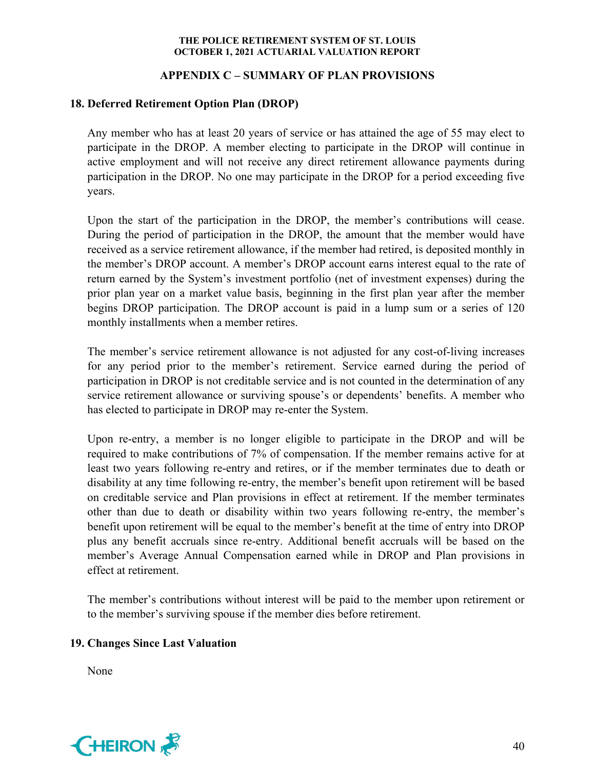# **APPENDIX C – SUMMARY OF PLAN PROVISIONS**

# **18. Deferred Retirement Option Plan (DROP)**

Any member who has at least 20 years of service or has attained the age of 55 may elect to participate in the DROP. A member electing to participate in the DROP will continue in active employment and will not receive any direct retirement allowance payments during participation in the DROP. No one may participate in the DROP for a period exceeding five years.

Upon the start of the participation in the DROP, the member's contributions will cease. During the period of participation in the DROP, the amount that the member would have received as a service retirement allowance, if the member had retired, is deposited monthly in the member's DROP account. A member's DROP account earns interest equal to the rate of return earned by the System's investment portfolio (net of investment expenses) during the prior plan year on a market value basis, beginning in the first plan year after the member begins DROP participation. The DROP account is paid in a lump sum or a series of 120 monthly installments when a member retires.

The member's service retirement allowance is not adjusted for any cost-of-living increases for any period prior to the member's retirement. Service earned during the period of participation in DROP is not creditable service and is not counted in the determination of any service retirement allowance or surviving spouse's or dependents' benefits. A member who has elected to participate in DROP may re-enter the System.

Upon re-entry, a member is no longer eligible to participate in the DROP and will be required to make contributions of 7% of compensation. If the member remains active for at least two years following re-entry and retires, or if the member terminates due to death or disability at any time following re-entry, the member's benefit upon retirement will be based on creditable service and Plan provisions in effect at retirement. If the member terminates other than due to death or disability within two years following re-entry, the member's benefit upon retirement will be equal to the member's benefit at the time of entry into DROP plus any benefit accruals since re-entry. Additional benefit accruals will be based on the member's Average Annual Compensation earned while in DROP and Plan provisions in effect at retirement.

The member's contributions without interest will be paid to the member upon retirement or to the member's surviving spouse if the member dies before retirement.

# **19. Changes Since Last Valuation**

None

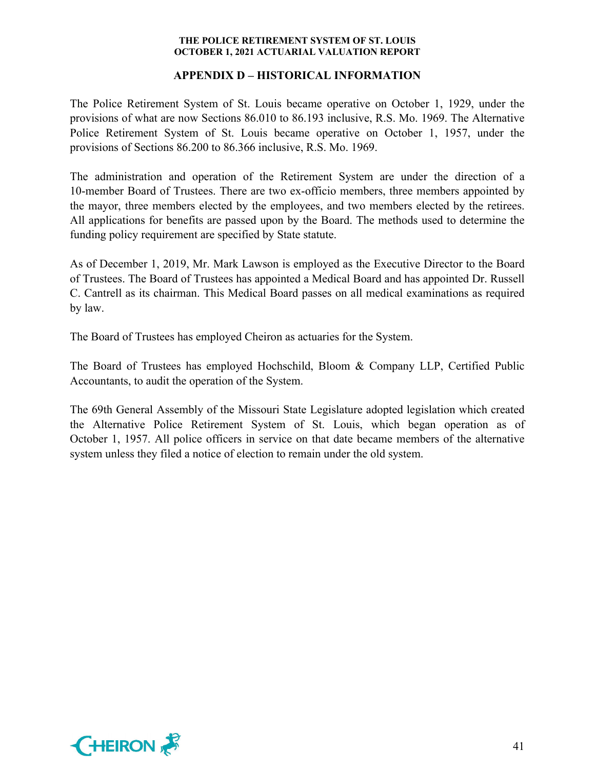# **APPENDIX D – HISTORICAL INFORMATION**

The Police Retirement System of St. Louis became operative on October 1, 1929, under the provisions of what are now Sections 86.010 to 86.193 inclusive, R.S. Mo. 1969. The Alternative Police Retirement System of St. Louis became operative on October 1, 1957, under the provisions of Sections 86.200 to 86.366 inclusive, R.S. Mo. 1969.

The administration and operation of the Retirement System are under the direction of a 10-member Board of Trustees. There are two ex-officio members, three members appointed by the mayor, three members elected by the employees, and two members elected by the retirees. All applications for benefits are passed upon by the Board. The methods used to determine the funding policy requirement are specified by State statute.

As of December 1, 2019, Mr. Mark Lawson is employed as the Executive Director to the Board of Trustees. The Board of Trustees has appointed a Medical Board and has appointed Dr. Russell C. Cantrell as its chairman. This Medical Board passes on all medical examinations as required by law.

The Board of Trustees has employed Cheiron as actuaries for the System.

The Board of Trustees has employed Hochschild, Bloom & Company LLP, Certified Public Accountants, to audit the operation of the System.

The 69th General Assembly of the Missouri State Legislature adopted legislation which created the Alternative Police Retirement System of St. Louis, which began operation as of October 1, 1957. All police officers in service on that date became members of the alternative system unless they filed a notice of election to remain under the old system.

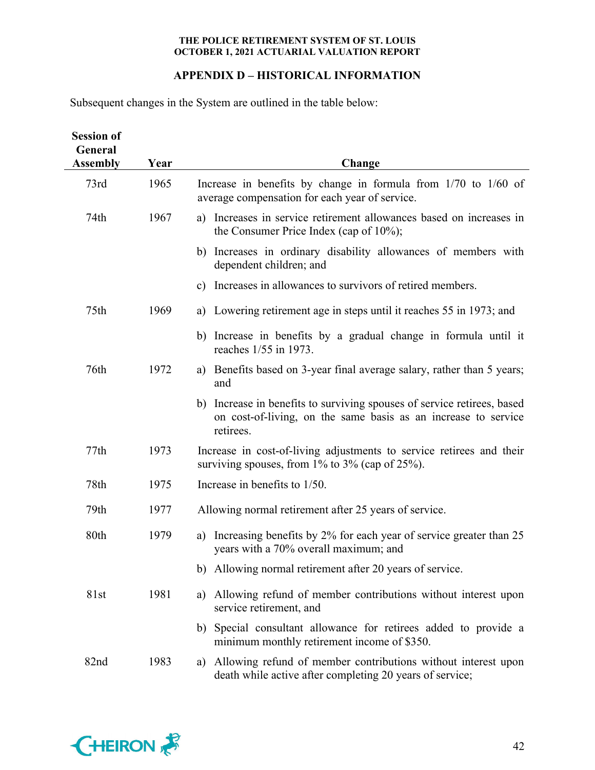# **APPENDIX D – HISTORICAL INFORMATION**

Subsequent changes in the System are outlined in the table below:

| <b>Session of</b><br>General<br><b>Assembly</b> | Year | Change                                                                                                                                                 |
|-------------------------------------------------|------|--------------------------------------------------------------------------------------------------------------------------------------------------------|
|                                                 |      |                                                                                                                                                        |
| 73rd                                            | 1965 | Increase in benefits by change in formula from $1/70$ to $1/60$ of<br>average compensation for each year of service.                                   |
| 74th                                            | 1967 | a) Increases in service retirement allowances based on increases in<br>the Consumer Price Index (cap of $10\%$ );                                      |
|                                                 |      | b) Increases in ordinary disability allowances of members with<br>dependent children; and                                                              |
|                                                 |      | c) Increases in allowances to survivors of retired members.                                                                                            |
| 75th                                            | 1969 | a) Lowering retirement age in steps until it reaches 55 in 1973; and                                                                                   |
|                                                 |      | b) Increase in benefits by a gradual change in formula until it<br>reaches 1/55 in 1973.                                                               |
| 76th                                            | 1972 | a) Benefits based on 3-year final average salary, rather than 5 years;<br>and                                                                          |
|                                                 |      | b) Increase in benefits to surviving spouses of service retirees, based<br>on cost-of-living, on the same basis as an increase to service<br>retirees. |
| 77th                                            | 1973 | Increase in cost-of-living adjustments to service retirees and their<br>surviving spouses, from $1\%$ to $3\%$ (cap of $25\%$ ).                       |
| 78th                                            | 1975 | Increase in benefits to $1/50$ .                                                                                                                       |
| 79th                                            | 1977 | Allowing normal retirement after 25 years of service.                                                                                                  |
| 80th                                            | 1979 | a) Increasing benefits by 2% for each year of service greater than 25<br>years with a 70% overall maximum; and                                         |
|                                                 |      | b) Allowing normal retirement after 20 years of service.                                                                                               |
| 81st                                            | 1981 | Allowing refund of member contributions without interest upon<br>a)<br>service retirement, and                                                         |
|                                                 |      | Special consultant allowance for retirees added to provide a<br>b)<br>minimum monthly retirement income of \$350.                                      |
| 82nd                                            | 1983 | Allowing refund of member contributions without interest upon<br>a)<br>death while active after completing 20 years of service;                        |

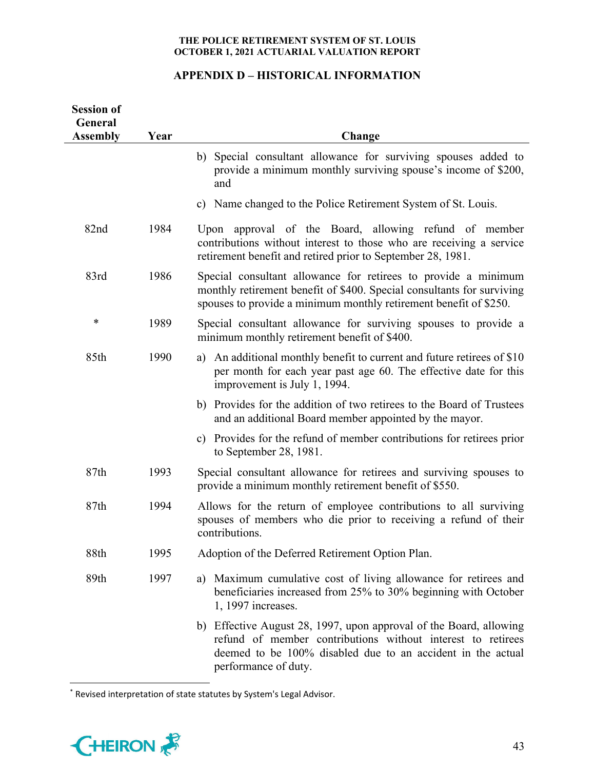# **APPENDIX D – HISTORICAL INFORMATION**

| <b>Session of</b><br>General<br><b>Assembly</b> | Year | Change                                                                                                                                                                                                                   |
|-------------------------------------------------|------|--------------------------------------------------------------------------------------------------------------------------------------------------------------------------------------------------------------------------|
|                                                 |      | b) Special consultant allowance for surviving spouses added to<br>provide a minimum monthly surviving spouse's income of \$200,<br>and                                                                                   |
|                                                 |      | c) Name changed to the Police Retirement System of St. Louis.                                                                                                                                                            |
| 82nd                                            | 1984 | Upon approval of the Board, allowing refund of member<br>contributions without interest to those who are receiving a service<br>retirement benefit and retired prior to September 28, 1981.                              |
| 83rd                                            | 1986 | Special consultant allowance for retirees to provide a minimum<br>monthly retirement benefit of \$400. Special consultants for surviving<br>spouses to provide a minimum monthly retirement benefit of \$250.            |
| ∗                                               | 1989 | Special consultant allowance for surviving spouses to provide a<br>minimum monthly retirement benefit of \$400.                                                                                                          |
| 85th                                            | 1990 | An additional monthly benefit to current and future retirees of \$10<br>a)<br>per month for each year past age 60. The effective date for this<br>improvement is July 1, 1994.                                           |
|                                                 |      | b) Provides for the addition of two retirees to the Board of Trustees<br>and an additional Board member appointed by the mayor.                                                                                          |
|                                                 |      | c) Provides for the refund of member contributions for retirees prior<br>to September 28, $1981$ .                                                                                                                       |
| 87th                                            | 1993 | Special consultant allowance for retirees and surviving spouses to<br>provide a minimum monthly retirement benefit of \$550.                                                                                             |
| 87th                                            | 1994 | Allows for the return of employee contributions to all surviving<br>spouses of members who die prior to receiving a refund of their<br>contributions.                                                                    |
| 88th                                            | 1995 | Adoption of the Deferred Retirement Option Plan.                                                                                                                                                                         |
| 89th                                            | 1997 | Maximum cumulative cost of living allowance for retirees and<br>a)<br>beneficiaries increased from 25% to 30% beginning with October<br>1, 1997 increases.                                                               |
|                                                 |      | b) Effective August 28, 1997, upon approval of the Board, allowing<br>refund of member contributions without interest to retirees<br>deemed to be 100% disabled due to an accident in the actual<br>performance of duty. |

<sup>\*</sup> Revised interpretation of state statutes by System's Legal Advisor.

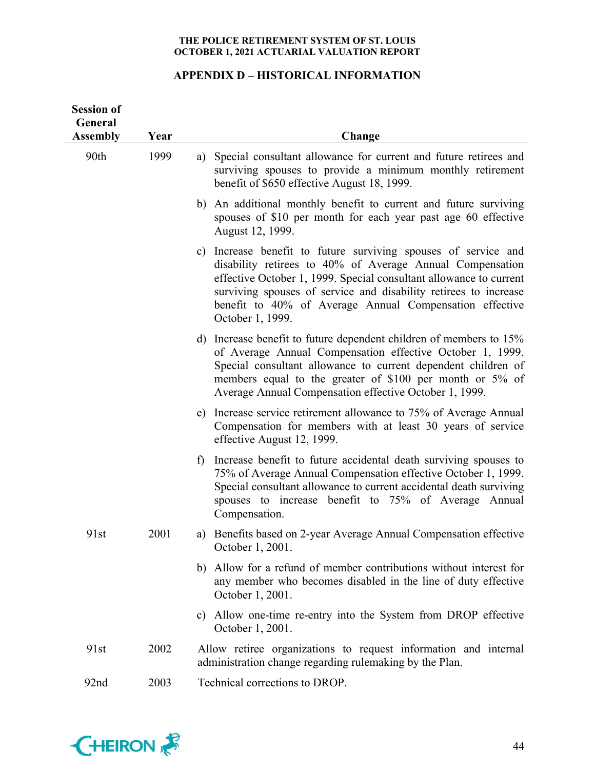# **APPENDIX D – HISTORICAL INFORMATION**

| <b>Session of</b><br>General<br><b>Assembly</b> | Year | Change                                                                                                                                                                                                                                                                                                                                                  |
|-------------------------------------------------|------|---------------------------------------------------------------------------------------------------------------------------------------------------------------------------------------------------------------------------------------------------------------------------------------------------------------------------------------------------------|
| 90th                                            | 1999 | Special consultant allowance for current and future retirees and<br>a)<br>surviving spouses to provide a minimum monthly retirement<br>benefit of \$650 effective August 18, 1999.                                                                                                                                                                      |
|                                                 |      | An additional monthly benefit to current and future surviving<br>b)<br>spouses of \$10 per month for each year past age 60 effective<br>August 12, 1999.                                                                                                                                                                                                |
|                                                 |      | Increase benefit to future surviving spouses of service and<br>C)<br>disability retirees to 40% of Average Annual Compensation<br>effective October 1, 1999. Special consultant allowance to current<br>surviving spouses of service and disability retirees to increase<br>benefit to 40% of Average Annual Compensation effective<br>October 1, 1999. |
|                                                 |      | d) Increase benefit to future dependent children of members to 15%<br>of Average Annual Compensation effective October 1, 1999.<br>Special consultant allowance to current dependent children of<br>members equal to the greater of \$100 per month or 5% of<br>Average Annual Compensation effective October 1, 1999.                                  |
|                                                 |      | Increase service retirement allowance to 75% of Average Annual<br>e)<br>Compensation for members with at least 30 years of service<br>effective August 12, 1999.                                                                                                                                                                                        |
|                                                 |      | Increase benefit to future accidental death surviving spouses to<br>f)<br>75% of Average Annual Compensation effective October 1, 1999.<br>Special consultant allowance to current accidental death surviving<br>spouses to increase benefit to 75% of Average Annual<br>Compensation.                                                                  |
| 91st                                            | 2001 | a) Benefits based on 2-year Average Annual Compensation effective<br>October 1, 2001.                                                                                                                                                                                                                                                                   |
|                                                 |      | Allow for a refund of member contributions without interest for<br>b)<br>any member who becomes disabled in the line of duty effective<br>October 1, 2001.                                                                                                                                                                                              |
|                                                 |      | Allow one-time re-entry into the System from DROP effective<br>C)<br>October 1, 2001.                                                                                                                                                                                                                                                                   |
| 91st                                            | 2002 | Allow retiree organizations to request information and internal<br>administration change regarding rulemaking by the Plan.                                                                                                                                                                                                                              |
| 92nd                                            | 2003 | Technical corrections to DROP.                                                                                                                                                                                                                                                                                                                          |

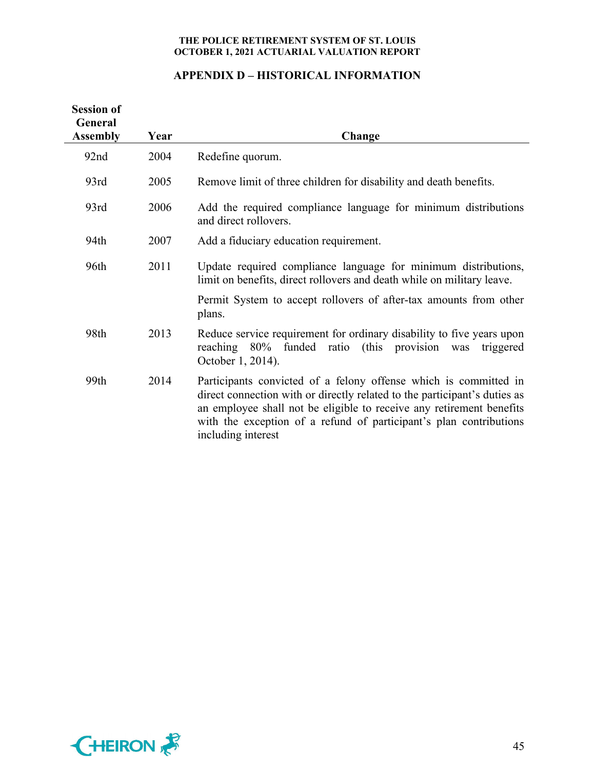# **APPENDIX D – HISTORICAL INFORMATION**

| <b>Session of</b><br>General<br><b>Assembly</b> | Year | Change                                                                                                                                                                                                                                                                                                            |
|-------------------------------------------------|------|-------------------------------------------------------------------------------------------------------------------------------------------------------------------------------------------------------------------------------------------------------------------------------------------------------------------|
| 92nd                                            | 2004 | Redefine quorum.                                                                                                                                                                                                                                                                                                  |
| 93rd                                            | 2005 | Remove limit of three children for disability and death benefits.                                                                                                                                                                                                                                                 |
| 93rd                                            | 2006 | Add the required compliance language for minimum distributions<br>and direct rollovers.                                                                                                                                                                                                                           |
| 94th                                            | 2007 | Add a fiduciary education requirement.                                                                                                                                                                                                                                                                            |
| 96th                                            | 2011 | Update required compliance language for minimum distributions,<br>limit on benefits, direct rollovers and death while on military leave.                                                                                                                                                                          |
|                                                 |      | Permit System to accept rollovers of after-tax amounts from other<br>plans.                                                                                                                                                                                                                                       |
| 98th                                            | 2013 | Reduce service requirement for ordinary disability to five years upon<br>reaching 80% funded ratio (this provision<br>was<br>triggered<br>October 1, 2014).                                                                                                                                                       |
| 99th                                            | 2014 | Participants convicted of a felony offense which is committed in<br>direct connection with or directly related to the participant's duties as<br>an employee shall not be eligible to receive any retirement benefits<br>with the exception of a refund of participant's plan contributions<br>including interest |